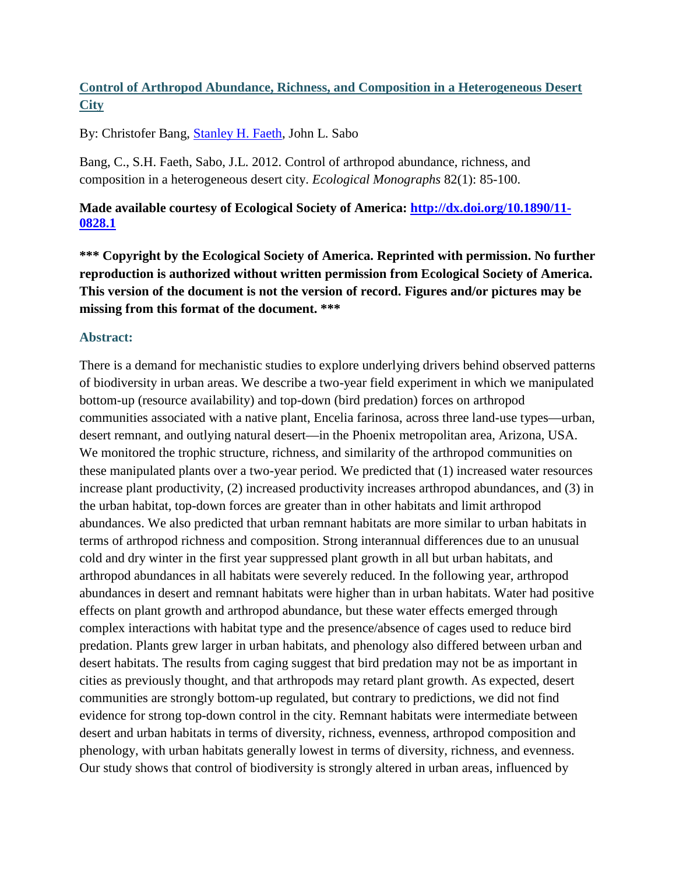# **Control of Arthropod Abundance, Richness, and Composition in a Heterogeneous Desert City**

By: Christofer Bang, [Stanley H. Faeth,](http://libres.uncg.edu/ir/uncg/clist.aspx?id=8896) John L. Sabo

Bang, C., S.H. Faeth, Sabo, J.L. 2012. Control of arthropod abundance, richness, and composition in a heterogeneous desert city. *Ecological Monographs* 82(1): 85-100.

## **Made available courtesy of Ecological Society of America: [http://dx.doi.org/10.1890/11-](http://dx.doi.org/10.1890/11-0828.1) [0828.1](http://dx.doi.org/10.1890/11-0828.1)**

**\*\*\* Copyright by the Ecological Society of America. Reprinted with permission. No further reproduction is authorized without written permission from Ecological Society of America. This version of the document is not the version of record. Figures and/or pictures may be missing from this format of the document. \*\*\***

### **Abstract:**

There is a demand for mechanistic studies to explore underlying drivers behind observed patterns of biodiversity in urban areas. We describe a two-year field experiment in which we manipulated bottom-up (resource availability) and top-down (bird predation) forces on arthropod communities associated with a native plant, Encelia farinosa, across three land-use types—urban, desert remnant, and outlying natural desert—in the Phoenix metropolitan area, Arizona, USA. We monitored the trophic structure, richness, and similarity of the arthropod communities on these manipulated plants over a two-year period. We predicted that (1) increased water resources increase plant productivity, (2) increased productivity increases arthropod abundances, and (3) in the urban habitat, top-down forces are greater than in other habitats and limit arthropod abundances. We also predicted that urban remnant habitats are more similar to urban habitats in terms of arthropod richness and composition. Strong interannual differences due to an unusual cold and dry winter in the first year suppressed plant growth in all but urban habitats, and arthropod abundances in all habitats were severely reduced. In the following year, arthropod abundances in desert and remnant habitats were higher than in urban habitats. Water had positive effects on plant growth and arthropod abundance, but these water effects emerged through complex interactions with habitat type and the presence/absence of cages used to reduce bird predation. Plants grew larger in urban habitats, and phenology also differed between urban and desert habitats. The results from caging suggest that bird predation may not be as important in cities as previously thought, and that arthropods may retard plant growth. As expected, desert communities are strongly bottom-up regulated, but contrary to predictions, we did not find evidence for strong top-down control in the city. Remnant habitats were intermediate between desert and urban habitats in terms of diversity, richness, evenness, arthropod composition and phenology, with urban habitats generally lowest in terms of diversity, richness, and evenness. Our study shows that control of biodiversity is strongly altered in urban areas, influenced by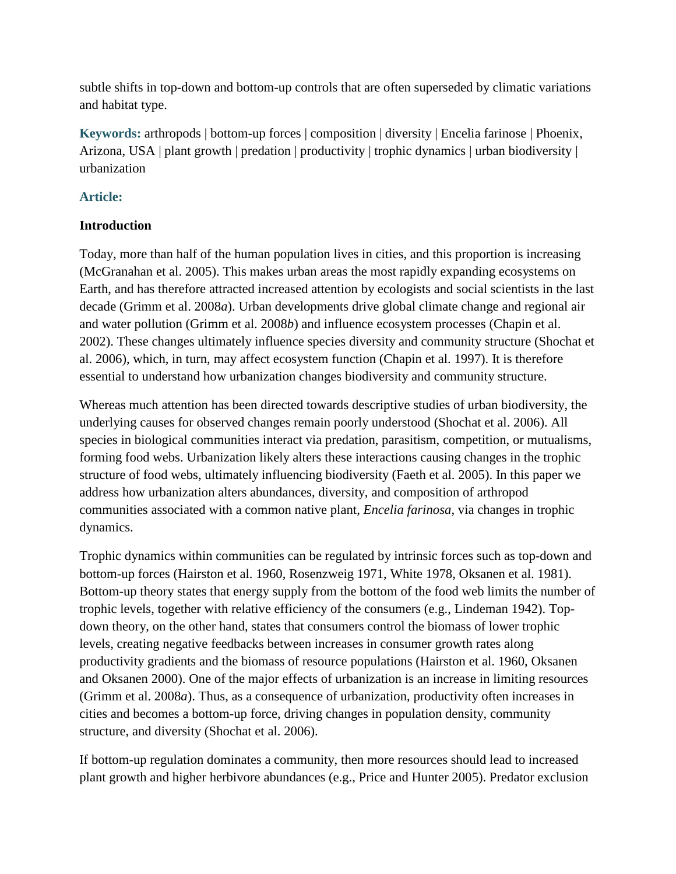subtle shifts in top-down and bottom-up controls that are often superseded by climatic variations and habitat type.

**Keywords:** arthropods | bottom-up forces | composition | diversity | Encelia farinose | Phoenix, Arizona, USA | plant growth | predation | productivity | trophic dynamics | urban biodiversity | urbanization

## **Article:**

## **Introduction**

Today, more than half of the human population lives in cities, and this proportion is increasing (McGranahan et al. 2005). This makes urban areas the most rapidly expanding ecosystems on Earth, and has therefore attracted increased attention by ecologists and social scientists in the last decade (Grimm et al. 2008*a*). Urban developments drive global climate change and regional air and water pollution (Grimm et al. 2008*b*) and influence ecosystem processes (Chapin et al. 2002). These changes ultimately influence species diversity and community structure (Shochat et al. 2006), which, in turn, may affect ecosystem function (Chapin et al. 1997). It is therefore essential to understand how urbanization changes biodiversity and community structure.

Whereas much attention has been directed towards descriptive studies of urban biodiversity, the underlying causes for observed changes remain poorly understood (Shochat et al. 2006). All species in biological communities interact via predation, parasitism, competition, or mutualisms, forming food webs. Urbanization likely alters these interactions causing changes in the trophic structure of food webs, ultimately influencing biodiversity (Faeth et al. 2005). In this paper we address how urbanization alters abundances, diversity, and composition of arthropod communities associated with a common native plant, *Encelia farinosa*, via changes in trophic dynamics.

Trophic dynamics within communities can be regulated by intrinsic forces such as top-down and bottom-up forces (Hairston et al. 1960, Rosenzweig 1971, White 1978, Oksanen et al. 1981). Bottom-up theory states that energy supply from the bottom of the food web limits the number of trophic levels, together with relative efficiency of the consumers (e.g., Lindeman 1942). Topdown theory, on the other hand, states that consumers control the biomass of lower trophic levels, creating negative feedbacks between increases in consumer growth rates along productivity gradients and the biomass of resource populations (Hairston et al. 1960, Oksanen and Oksanen 2000). One of the major effects of urbanization is an increase in limiting resources (Grimm et al. 2008*a*). Thus, as a consequence of urbanization, productivity often increases in cities and becomes a bottom-up force, driving changes in population density, community structure, and diversity (Shochat et al. 2006).

If bottom-up regulation dominates a community, then more resources should lead to increased plant growth and higher herbivore abundances (e.g., Price and Hunter 2005). Predator exclusion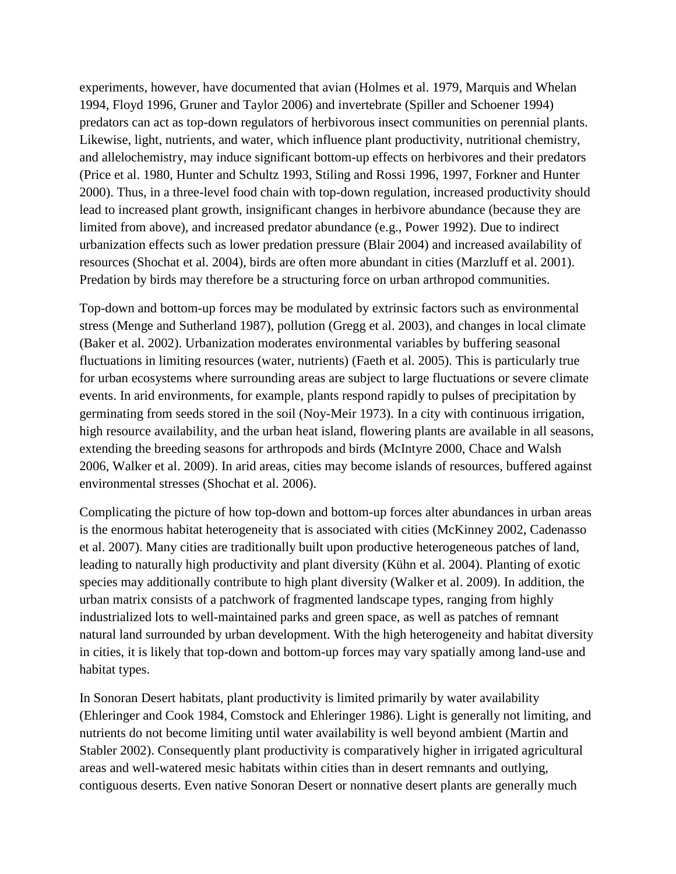experiments, however, have documented that avian (Holmes et al. 1979, Marquis and Whelan 1994, Floyd 1996, Gruner and Taylor 2006) and invertebrate (Spiller and Schoener 1994) predators can act as top-down regulators of herbivorous insect communities on perennial plants. Likewise, light, nutrients, and water, which influence plant productivity, nutritional chemistry, and allelochemistry, may induce significant bottom-up effects on herbivores and their predators (Price et al. 1980, Hunter and Schultz 1993, Stiling and Rossi 1996, 1997, Forkner and Hunter 2000). Thus, in a three-level food chain with top-down regulation, increased productivity should lead to increased plant growth, insignificant changes in herbivore abundance (because they are limited from above), and increased predator abundance (e.g., Power 1992). Due to indirect urbanization effects such as lower predation pressure (Blair 2004) and increased availability of resources (Shochat et al. 2004), birds are often more abundant in cities (Marzluff et al. 2001). Predation by birds may therefore be a structuring force on urban arthropod communities.

Top-down and bottom-up forces may be modulated by extrinsic factors such as environmental stress (Menge and Sutherland 1987), pollution (Gregg et al. 2003), and changes in local climate (Baker et al. 2002). Urbanization moderates environmental variables by buffering seasonal fluctuations in limiting resources (water, nutrients) (Faeth et al. 2005). This is particularly true for urban ecosystems where surrounding areas are subject to large fluctuations or severe climate events. In arid environments, for example, plants respond rapidly to pulses of precipitation by germinating from seeds stored in the soil (Noy-Meir 1973). In a city with continuous irrigation, high resource availability, and the urban heat island, flowering plants are available in all seasons, extending the breeding seasons for arthropods and birds (McIntyre 2000, Chace and Walsh 2006, Walker et al. 2009). In arid areas, cities may become islands of resources, buffered against environmental stresses (Shochat et al. 2006).

Complicating the picture of how top-down and bottom-up forces alter abundances in urban areas is the enormous habitat heterogeneity that is associated with cities (McKinney 2002, Cadenasso et al. 2007). Many cities are traditionally built upon productive heterogeneous patches of land, leading to naturally high productivity and plant diversity (Kühn et al. 2004). Planting of exotic species may additionally contribute to high plant diversity (Walker et al. 2009). In addition, the urban matrix consists of a patchwork of fragmented landscape types, ranging from highly industrialized lots to well-maintained parks and green space, as well as patches of remnant natural land surrounded by urban development. With the high heterogeneity and habitat diversity in cities, it is likely that top-down and bottom-up forces may vary spatially among land-use and habitat types.

In Sonoran Desert habitats, plant productivity is limited primarily by water availability (Ehleringer and Cook 1984, Comstock and Ehleringer 1986). Light is generally not limiting, and nutrients do not become limiting until water availability is well beyond ambient (Martin and Stabler 2002). Consequently plant productivity is comparatively higher in irrigated agricultural areas and well-watered mesic habitats within cities than in desert remnants and outlying, contiguous deserts. Even native Sonoran Desert or nonnative desert plants are generally much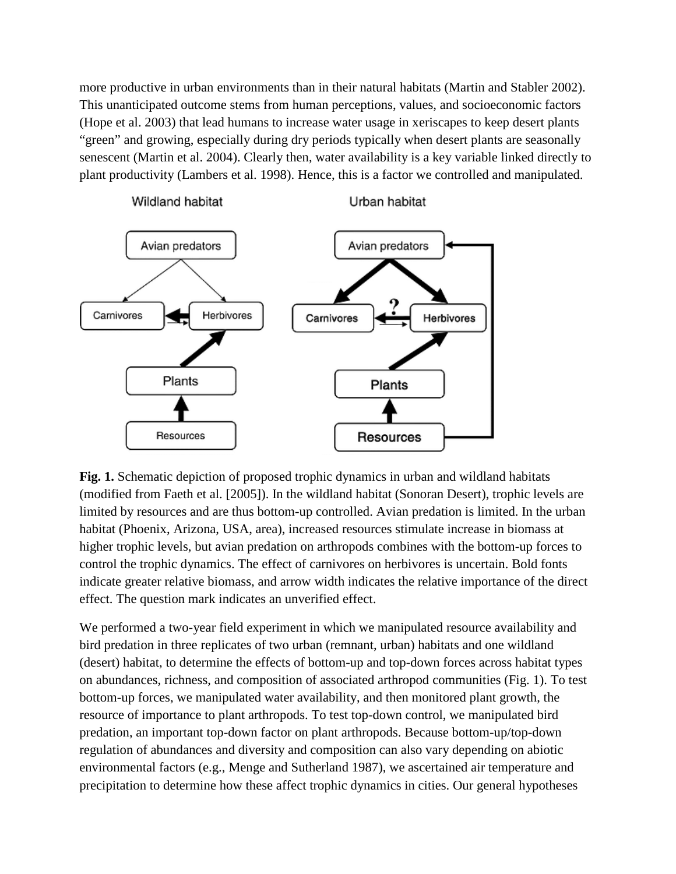more productive in urban environments than in their natural habitats (Martin and Stabler 2002). This unanticipated outcome stems from human perceptions, values, and socioeconomic factors (Hope et al. 2003) that lead humans to increase water usage in xeriscapes to keep desert plants "green" and growing, especially during dry periods typically when desert plants are seasonally senescent (Martin et al. 2004). Clearly then, water availability is a key variable linked directly to plant productivity (Lambers et al. 1998). Hence, this is a factor we controlled and manipulated.



**Fig. 1.** Schematic depiction of proposed trophic dynamics in urban and wildland habitats (modified from Faeth et al. [2005]). In the wildland habitat (Sonoran Desert), trophic levels are limited by resources and are thus bottom-up controlled. Avian predation is limited. In the urban habitat (Phoenix, Arizona, USA, area), increased resources stimulate increase in biomass at higher trophic levels, but avian predation on arthropods combines with the bottom-up forces to control the trophic dynamics. The effect of carnivores on herbivores is uncertain. Bold fonts indicate greater relative biomass, and arrow width indicates the relative importance of the direct effect. The question mark indicates an unverified effect.

We performed a two-year field experiment in which we manipulated resource availability and bird predation in three replicates of two urban (remnant, urban) habitats and one wildland (desert) habitat, to determine the effects of bottom-up and top-down forces across habitat types on abundances, richness, and composition of associated arthropod communities (Fig. 1). To test bottom-up forces, we manipulated water availability, and then monitored plant growth, the resource of importance to plant arthropods. To test top-down control, we manipulated bird predation, an important top-down factor on plant arthropods. Because bottom-up/top-down regulation of abundances and diversity and composition can also vary depending on abiotic environmental factors (e.g., Menge and Sutherland 1987), we ascertained air temperature and precipitation to determine how these affect trophic dynamics in cities. Our general hypotheses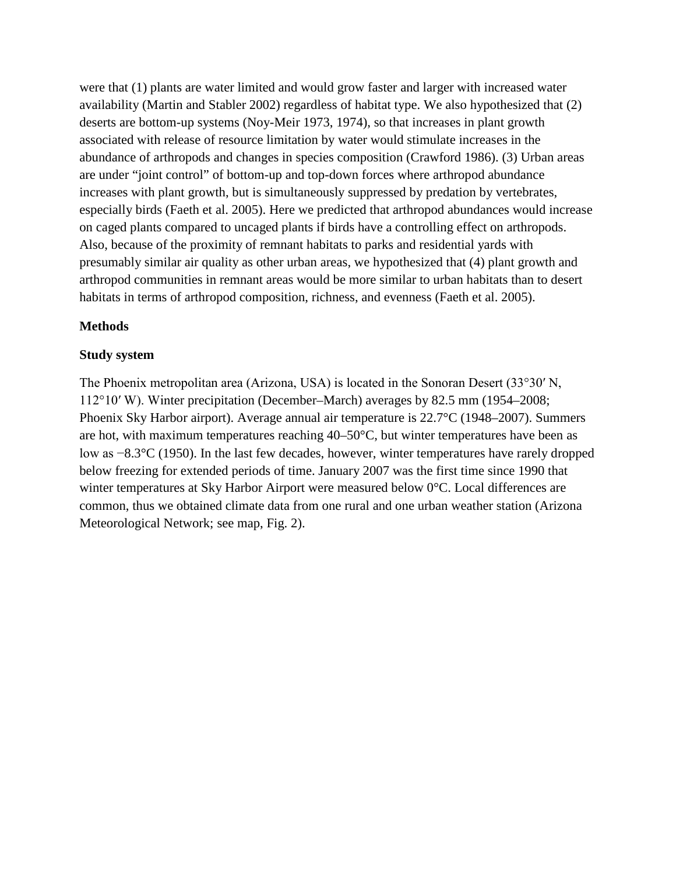were that (1) plants are water limited and would grow faster and larger with increased water availability (Martin and Stabler 2002) regardless of habitat type. We also hypothesized that (2) deserts are bottom-up systems (Noy-Meir 1973, 1974), so that increases in plant growth associated with release of resource limitation by water would stimulate increases in the abundance of arthropods and changes in species composition (Crawford 1986). (3) Urban areas are under "joint control" of bottom-up and top-down forces where arthropod abundance increases with plant growth, but is simultaneously suppressed by predation by vertebrates, especially birds (Faeth et al. 2005). Here we predicted that arthropod abundances would increase on caged plants compared to uncaged plants if birds have a controlling effect on arthropods. Also, because of the proximity of remnant habitats to parks and residential yards with presumably similar air quality as other urban areas, we hypothesized that (4) plant growth and arthropod communities in remnant areas would be more similar to urban habitats than to desert habitats in terms of arthropod composition, richness, and evenness (Faeth et al. 2005).

#### **Methods**

#### **Study system**

The Phoenix metropolitan area (Arizona, USA) is located in the Sonoran Desert (33°30′ N, 112°10′ W). Winter precipitation (December–March) averages by 82.5 mm (1954–2008; Phoenix Sky Harbor airport). Average annual air temperature is 22.7°C (1948–2007). Summers are hot, with maximum temperatures reaching 40–50°C, but winter temperatures have been as low as −8.3°C (1950). In the last few decades, however, winter temperatures have rarely dropped below freezing for extended periods of time. January 2007 was the first time since 1990 that winter temperatures at Sky Harbor Airport were measured below 0°C. Local differences are common, thus we obtained climate data from one rural and one urban weather station (Arizona Meteorological Network; see map, Fig. 2).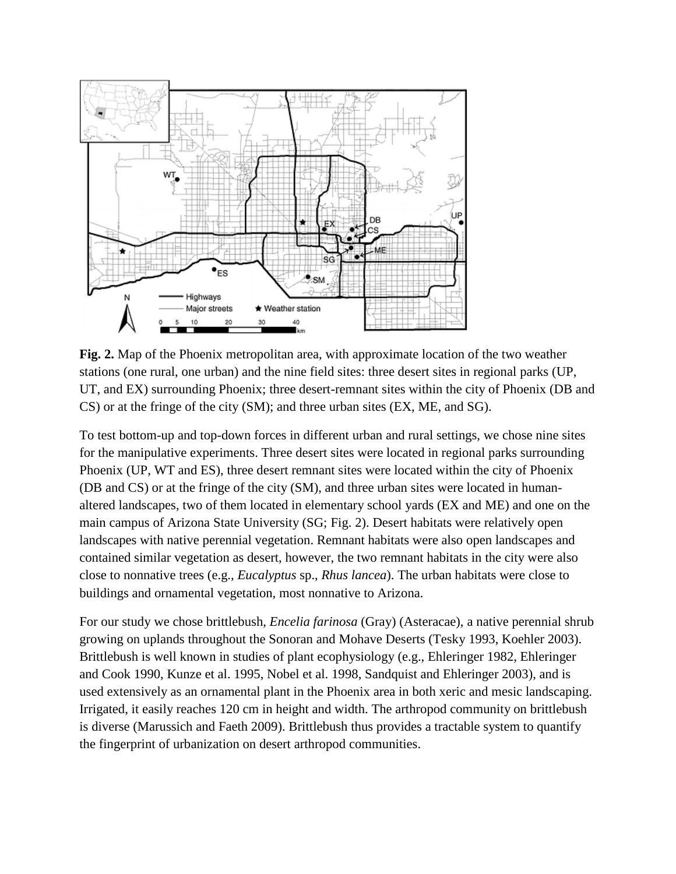

**Fig. 2.** Map of the Phoenix metropolitan area, with approximate location of the two weather stations (one rural, one urban) and the nine field sites: three desert sites in regional parks (UP, UT, and EX) surrounding Phoenix; three desert-remnant sites within the city of Phoenix (DB and CS) or at the fringe of the city (SM); and three urban sites (EX, ME, and SG).

To test bottom-up and top-down forces in different urban and rural settings, we chose nine sites for the manipulative experiments. Three desert sites were located in regional parks surrounding Phoenix (UP, WT and ES), three desert remnant sites were located within the city of Phoenix (DB and CS) or at the fringe of the city (SM), and three urban sites were located in humanaltered landscapes, two of them located in elementary school yards (EX and ME) and one on the main campus of Arizona State University (SG; Fig. 2). Desert habitats were relatively open landscapes with native perennial vegetation. Remnant habitats were also open landscapes and contained similar vegetation as desert, however, the two remnant habitats in the city were also close to nonnative trees (e.g., *Eucalyptus* sp., *Rhus lancea*). The urban habitats were close to buildings and ornamental vegetation, most nonnative to Arizona.

For our study we chose brittlebush, *Encelia farinosa* (Gray) (Asteracae), a native perennial shrub growing on uplands throughout the Sonoran and Mohave Deserts (Tesky 1993, Koehler 2003). Brittlebush is well known in studies of plant ecophysiology (e.g., Ehleringer 1982, Ehleringer and Cook 1990, Kunze et al. 1995, Nobel et al. 1998, Sandquist and Ehleringer 2003), and is used extensively as an ornamental plant in the Phoenix area in both xeric and mesic landscaping. Irrigated, it easily reaches 120 cm in height and width. The arthropod community on brittlebush is diverse (Marussich and Faeth 2009). Brittlebush thus provides a tractable system to quantify the fingerprint of urbanization on desert arthropod communities.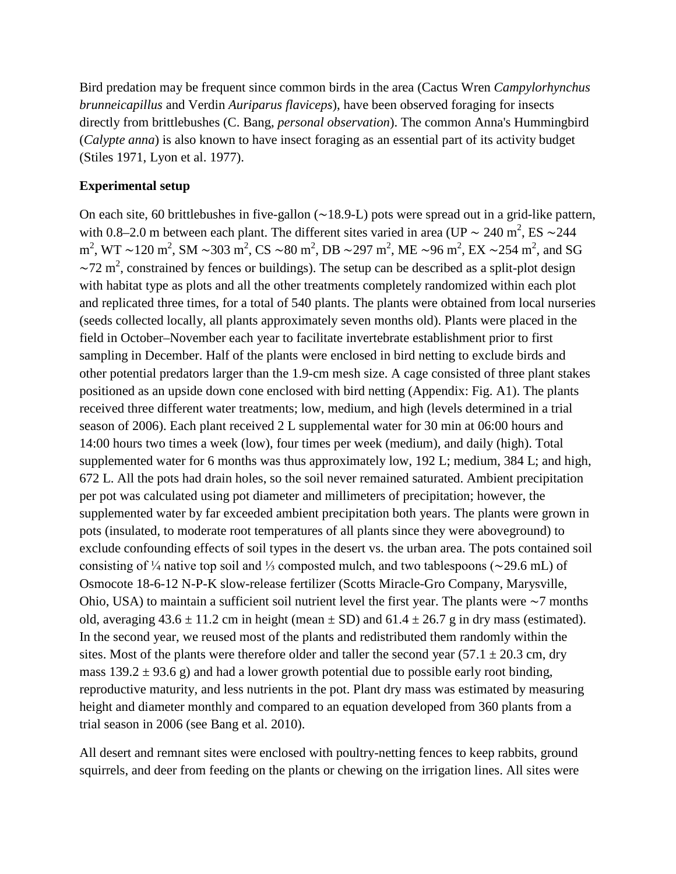Bird predation may be frequent since common birds in the area (Cactus Wren *Campylorhynchus brunneicapillus* and Verdin *Auriparus flaviceps*), have been observed foraging for insects directly from brittlebushes (C. Bang, *personal observation*). The common Anna's Hummingbird (*Calypte anna*) is also known to have insect foraging as an essential part of its activity budget (Stiles 1971, Lyon et al. 1977).

#### **Experimental setup**

On each site, 60 brittlebushes in five-gallon (∼18.9-L) pots were spread out in a grid-like pattern, with 0.8–2.0 m between each plant. The different sites varied in area (UP  $\sim$  240 m<sup>2</sup>, ES  $\sim$ 244 m<sup>2</sup>, WT ~120 m<sup>2</sup>, SM ~303 m<sup>2</sup>, CS ~80 m<sup>2</sup>, DB ~297 m<sup>2</sup>, ME ~96 m<sup>2</sup>, EX ~254 m<sup>2</sup>, and SG  $\sim$ 72 m<sup>2</sup>, constrained by fences or buildings). The setup can be described as a split-plot design with habitat type as plots and all the other treatments completely randomized within each plot and replicated three times, for a total of 540 plants. The plants were obtained from local nurseries (seeds collected locally, all plants approximately seven months old). Plants were placed in the field in October–November each year to facilitate invertebrate establishment prior to first sampling in December. Half of the plants were enclosed in bird netting to exclude birds and other potential predators larger than the 1.9-cm mesh size. A cage consisted of three plant stakes positioned as an upside down cone enclosed with bird netting (Appendix: Fig. A1). The plants received three different water treatments; low, medium, and high (levels determined in a trial season of 2006). Each plant received 2 L supplemental water for 30 min at 06:00 hours and 14:00 hours two times a week (low), four times per week (medium), and daily (high). Total supplemented water for 6 months was thus approximately low, 192 L; medium, 384 L; and high, 672 L. All the pots had drain holes, so the soil never remained saturated. Ambient precipitation per pot was calculated using pot diameter and millimeters of precipitation; however, the supplemented water by far exceeded ambient precipitation both years. The plants were grown in pots (insulated, to moderate root temperatures of all plants since they were aboveground) to exclude confounding effects of soil types in the desert vs. the urban area. The pots contained soil consisting of ¼ native top soil and ⅓ composted mulch, and two tablespoons (∼29.6 mL) of Osmocote 18-6-12 N-P-K slow-release fertilizer (Scotts Miracle-Gro Company, Marysville, Ohio, USA) to maintain a sufficient soil nutrient level the first year. The plants were ∼7 months old, averaging  $43.6 \pm 11.2$  cm in height (mean  $\pm$  SD) and  $61.4 \pm 26.7$  g in dry mass (estimated). In the second year, we reused most of the plants and redistributed them randomly within the sites. Most of the plants were therefore older and taller the second year (57.1  $\pm$  20.3 cm, dry mass  $139.2 \pm 93.6$  g) and had a lower growth potential due to possible early root binding, reproductive maturity, and less nutrients in the pot. Plant dry mass was estimated by measuring height and diameter monthly and compared to an equation developed from 360 plants from a trial season in 2006 (see Bang et al. 2010).

All desert and remnant sites were enclosed with poultry-netting fences to keep rabbits, ground squirrels, and deer from feeding on the plants or chewing on the irrigation lines. All sites were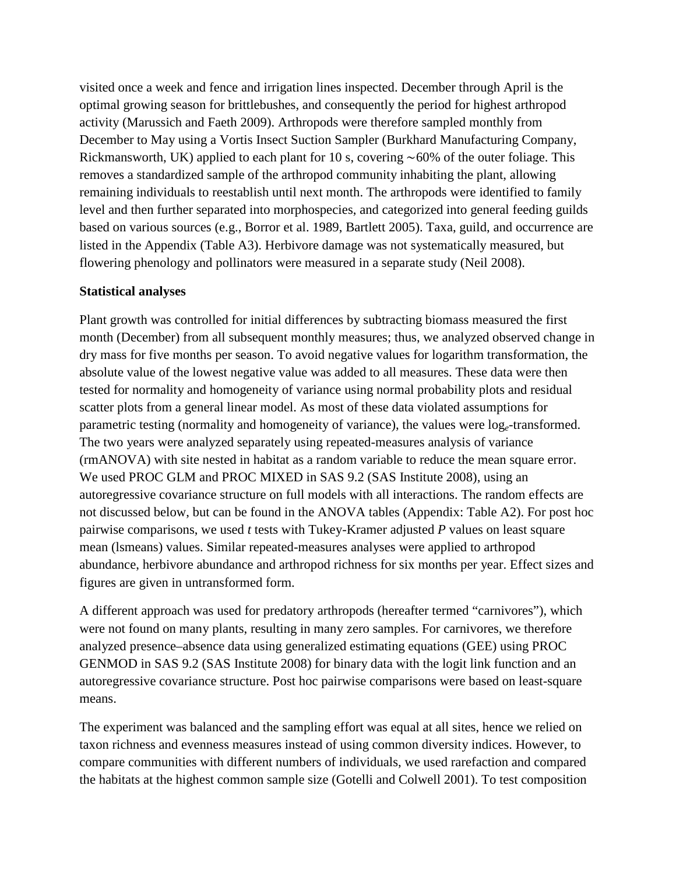visited once a week and fence and irrigation lines inspected. December through April is the optimal growing season for brittlebushes, and consequently the period for highest arthropod activity (Marussich and Faeth 2009). Arthropods were therefore sampled monthly from December to May using a Vortis Insect Suction Sampler (Burkhard Manufacturing Company, Rickmansworth, UK) applied to each plant for 10 s, covering ∼60% of the outer foliage. This removes a standardized sample of the arthropod community inhabiting the plant, allowing remaining individuals to reestablish until next month. The arthropods were identified to family level and then further separated into morphospecies, and categorized into general feeding guilds based on various sources (e.g., Borror et al. 1989, Bartlett 2005). Taxa, guild, and occurrence are listed in the Appendix (Table A3). Herbivore damage was not systematically measured, but flowering phenology and pollinators were measured in a separate study (Neil 2008).

#### **Statistical analyses**

Plant growth was controlled for initial differences by subtracting biomass measured the first month (December) from all subsequent monthly measures; thus, we analyzed observed change in dry mass for five months per season. To avoid negative values for logarithm transformation, the absolute value of the lowest negative value was added to all measures. These data were then tested for normality and homogeneity of variance using normal probability plots and residual scatter plots from a general linear model. As most of these data violated assumptions for parametric testing (normality and homogeneity of variance), the values were log*e*-transformed. The two years were analyzed separately using repeated-measures analysis of variance (rmANOVA) with site nested in habitat as a random variable to reduce the mean square error. We used PROC GLM and PROC MIXED in SAS 9.2 (SAS Institute 2008), using an autoregressive covariance structure on full models with all interactions. The random effects are not discussed below, but can be found in the ANOVA tables (Appendix: Table A2). For post hoc pairwise comparisons, we used *t* tests with Tukey-Kramer adjusted *P* values on least square mean (lsmeans) values. Similar repeated-measures analyses were applied to arthropod abundance, herbivore abundance and arthropod richness for six months per year. Effect sizes and figures are given in untransformed form.

A different approach was used for predatory arthropods (hereafter termed "carnivores"), which were not found on many plants, resulting in many zero samples. For carnivores, we therefore analyzed presence–absence data using generalized estimating equations (GEE) using PROC GENMOD in SAS 9.2 (SAS Institute 2008) for binary data with the logit link function and an autoregressive covariance structure. Post hoc pairwise comparisons were based on least-square means.

The experiment was balanced and the sampling effort was equal at all sites, hence we relied on taxon richness and evenness measures instead of using common diversity indices. However, to compare communities with different numbers of individuals, we used rarefaction and compared the habitats at the highest common sample size (Gotelli and Colwell 2001). To test composition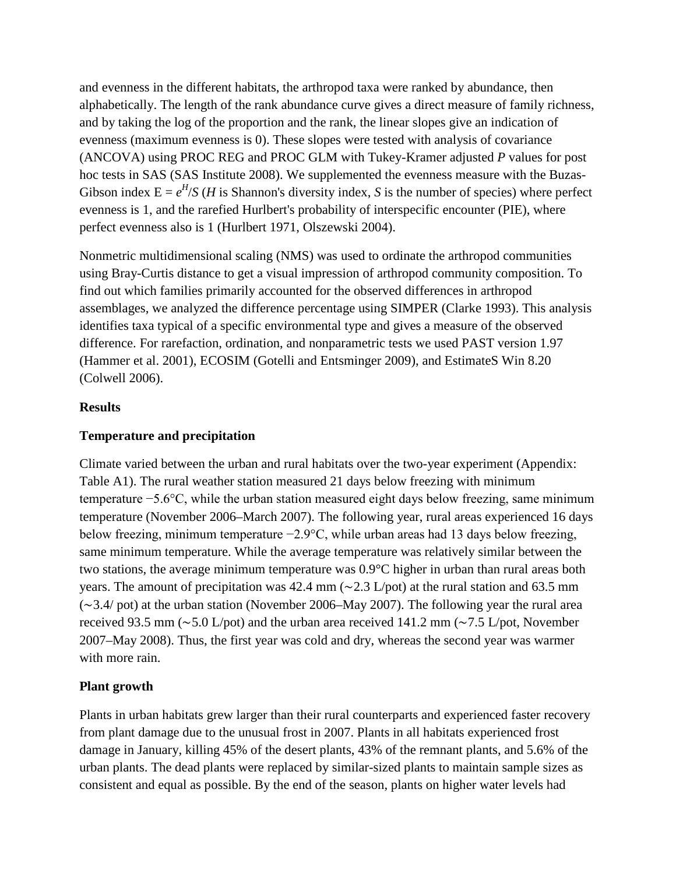and evenness in the different habitats, the arthropod taxa were ranked by abundance, then alphabetically. The length of the rank abundance curve gives a direct measure of family richness, and by taking the log of the proportion and the rank, the linear slopes give an indication of evenness (maximum evenness is 0). These slopes were tested with analysis of covariance (ANCOVA) using PROC REG and PROC GLM with Tukey-Kramer adjusted *P* values for post hoc tests in SAS (SAS Institute 2008). We supplemented the evenness measure with the Buzas-Gibson index  $E = e^{H}/S$  (*H* is Shannon's diversity index, *S* is the number of species) where perfect evenness is 1, and the rarefied Hurlbert's probability of interspecific encounter (PIE), where perfect evenness also is 1 (Hurlbert 1971, Olszewski 2004).

Nonmetric multidimensional scaling (NMS) was used to ordinate the arthropod communities using Bray-Curtis distance to get a visual impression of arthropod community composition. To find out which families primarily accounted for the observed differences in arthropod assemblages, we analyzed the difference percentage using SIMPER (Clarke 1993). This analysis identifies taxa typical of a specific environmental type and gives a measure of the observed difference. For rarefaction, ordination, and nonparametric tests we used PAST version 1.97 (Hammer et al. 2001), ECOSIM (Gotelli and Entsminger 2009), and EstimateS Win 8.20 (Colwell 2006).

### **Results**

### **Temperature and precipitation**

Climate varied between the urban and rural habitats over the two-year experiment (Appendix: Table A1). The rural weather station measured 21 days below freezing with minimum temperature −5.6°C, while the urban station measured eight days below freezing, same minimum temperature (November 2006–March 2007). The following year, rural areas experienced 16 days below freezing, minimum temperature −2.9°C, while urban areas had 13 days below freezing, same minimum temperature. While the average temperature was relatively similar between the two stations, the average minimum temperature was 0.9°C higher in urban than rural areas both years. The amount of precipitation was 42.4 mm (∼2.3 L/pot) at the rural station and 63.5 mm (∼3.4/ pot) at the urban station (November 2006–May 2007). The following year the rural area received 93.5 mm (∼5.0 L/pot) and the urban area received 141.2 mm (∼7.5 L/pot, November 2007–May 2008). Thus, the first year was cold and dry, whereas the second year was warmer with more rain.

### **Plant growth**

Plants in urban habitats grew larger than their rural counterparts and experienced faster recovery from plant damage due to the unusual frost in 2007. Plants in all habitats experienced frost damage in January, killing 45% of the desert plants, 43% of the remnant plants, and 5.6% of the urban plants. The dead plants were replaced by similar-sized plants to maintain sample sizes as consistent and equal as possible. By the end of the season, plants on higher water levels had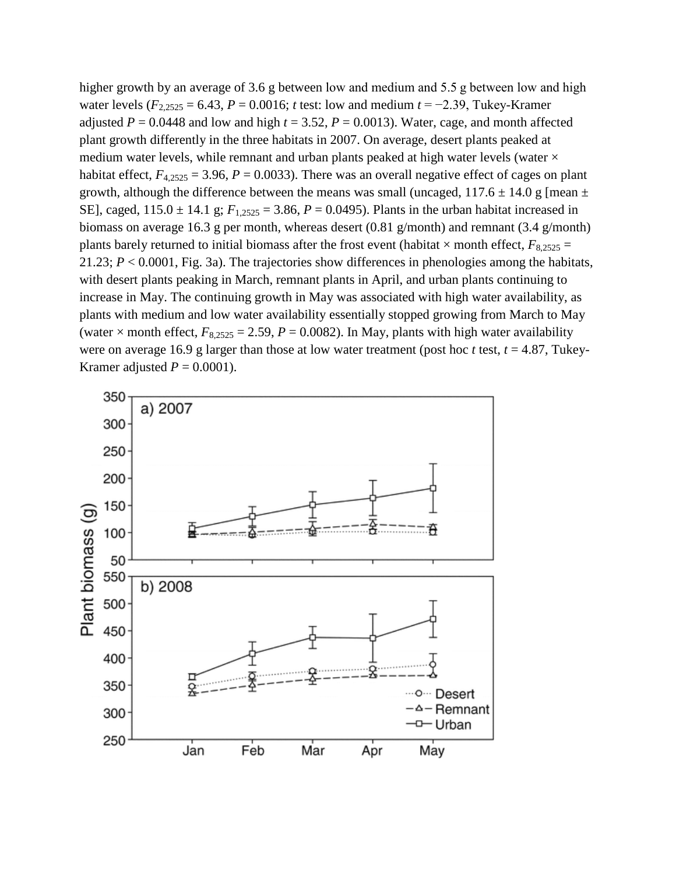higher growth by an average of 3.6 g between low and medium and 5.5 g between low and high water levels ( $F_{2,2525}$  = 6.43, *P* = 0.0016; *t* test: low and medium *t* = −2.39, Tukey-Kramer adjusted  $P = 0.0448$  and low and high  $t = 3.52$ ,  $P = 0.0013$ ). Water, cage, and month affected plant growth differently in the three habitats in 2007. On average, desert plants peaked at medium water levels, while remnant and urban plants peaked at high water levels (water  $\times$ habitat effect,  $F_{4,2525} = 3.96$ ,  $P = 0.0033$ ). There was an overall negative effect of cages on plant growth, although the difference between the means was small (uncaged,  $117.6 \pm 14.0$  g [mean  $\pm$ SE], caged,  $115.0 \pm 14.1$  g;  $F_{1,2525} = 3.86$ ,  $P = 0.0495$ ). Plants in the urban habitat increased in biomass on average 16.3 g per month, whereas desert (0.81 g/month) and remnant (3.4 g/month) plants barely returned to initial biomass after the frost event (habitat  $\times$  month effect,  $F_{8,2525}$  = 21.23; *P* < 0.0001, Fig. 3a). The trajectories show differences in phenologies among the habitats, with desert plants peaking in March, remnant plants in April, and urban plants continuing to increase in May. The continuing growth in May was associated with high water availability, as plants with medium and low water availability essentially stopped growing from March to May (water  $\times$  month effect,  $F_{8,2525} = 2.59$ ,  $P = 0.0082$ ). In May, plants with high water availability were on average 16.9 g larger than those at low water treatment (post hoc *t* test, *t* = 4.87, Tukey-Kramer adjusted  $P = 0.0001$ ).

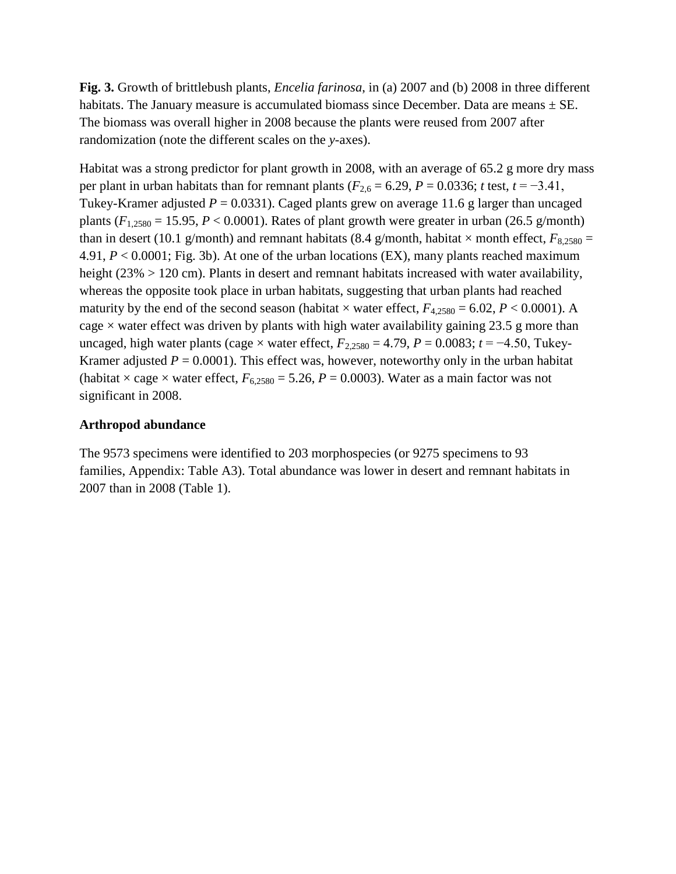**Fig. 3.** Growth of brittlebush plants, *Encelia farinosa*, in (a) 2007 and (b) 2008 in three different habitats. The January measure is accumulated biomass since December. Data are means  $\pm$  SE. The biomass was overall higher in 2008 because the plants were reused from 2007 after randomization (note the different scales on the *y*-axes).

Habitat was a strong predictor for plant growth in 2008, with an average of 65.2 g more dry mass per plant in urban habitats than for remnant plants ( $F_{2,6} = 6.29$ ,  $P = 0.0336$ ; *t* test,  $t = -3.41$ , Tukey-Kramer adjusted  $P = 0.0331$ ). Caged plants grew on average 11.6 g larger than uncaged plants  $(F_{1,2580} = 15.95, P < 0.0001)$ . Rates of plant growth were greater in urban (26.5 g/month) than in desert (10.1 g/month) and remnant habitats (8.4 g/month, habitat  $\times$  month effect,  $F_{8,2580}$  = 4.91, *P* < 0.0001; Fig. 3b). At one of the urban locations (EX), many plants reached maximum height (23% > 120 cm). Plants in desert and remnant habitats increased with water availability, whereas the opposite took place in urban habitats, suggesting that urban plants had reached maturity by the end of the second season (habitat  $\times$  water effect,  $F_{4,2580} = 6.02$ ,  $P < 0.0001$ ). A cage  $\times$  water effect was driven by plants with high water availability gaining 23.5 g more than uncaged, high water plants (cage  $\times$  water effect,  $F_{2,2580} = 4.79$ ,  $P = 0.0083$ ;  $t = -4.50$ , Tukey-Kramer adjusted  $P = 0.0001$ ). This effect was, however, noteworthy only in the urban habitat (habitat  $\times$  cage  $\times$  water effect,  $F_{6,2580} = 5.26$ ,  $P = 0.0003$ ). Water as a main factor was not significant in 2008.

### **Arthropod abundance**

The 9573 specimens were identified to 203 morphospecies (or 9275 specimens to 93 families, Appendix: Table A3). Total abundance was lower in desert and remnant habitats in 2007 than in 2008 (Table 1).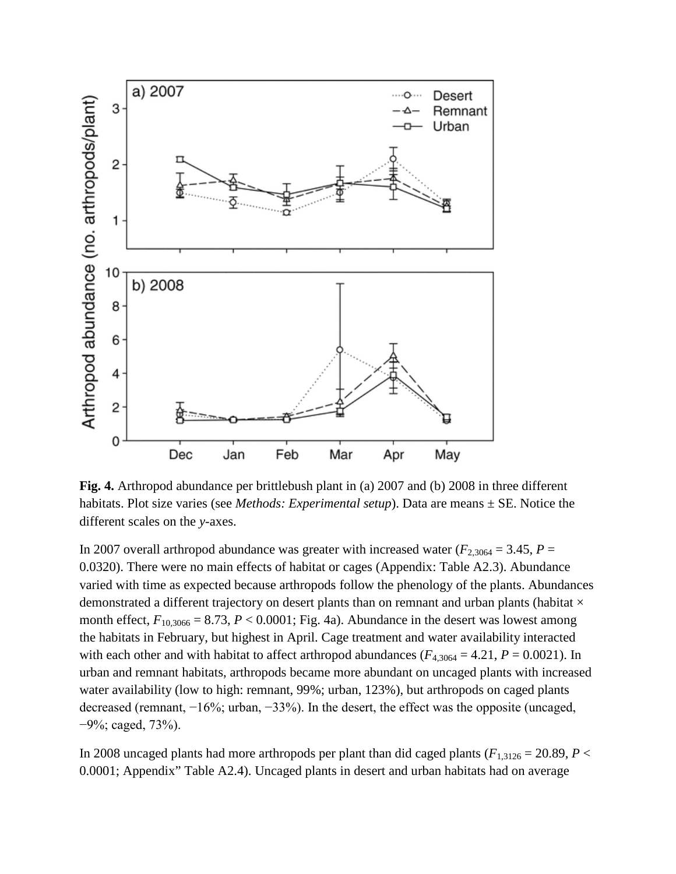

**Fig. 4.** Arthropod abundance per brittlebush plant in (a) 2007 and (b) 2008 in three different habitats. Plot size varies (see *Methods: Experimental setup*). Data are means ± SE. Notice the different scales on the *y*-axes.

In 2007 overall arthropod abundance was greater with increased water ( $F_{2,3064} = 3.45$ ,  $P =$ 0.0320). There were no main effects of habitat or cages (Appendix: Table A2.3). Abundance varied with time as expected because arthropods follow the phenology of the plants. Abundances demonstrated a different trajectory on desert plants than on remnant and urban plants (habitat  $\times$ month effect,  $F_{10,3066} = 8.73$ ,  $P < 0.0001$ ; Fig. 4a). Abundance in the desert was lowest among the habitats in February, but highest in April. Cage treatment and water availability interacted with each other and with habitat to affect arthropod abundances ( $F_{4,3064} = 4.21$ ,  $P = 0.0021$ ). In urban and remnant habitats, arthropods became more abundant on uncaged plants with increased water availability (low to high: remnant, 99%; urban, 123%), but arthropods on caged plants decreased (remnant, −16%; urban, −33%). In the desert, the effect was the opposite (uncaged, −9%; caged, 73%).

In 2008 uncaged plants had more arthropods per plant than did caged plants ( $F_{1,3126} = 20.89$ ,  $P <$ 0.0001; Appendix" Table A2.4). Uncaged plants in desert and urban habitats had on average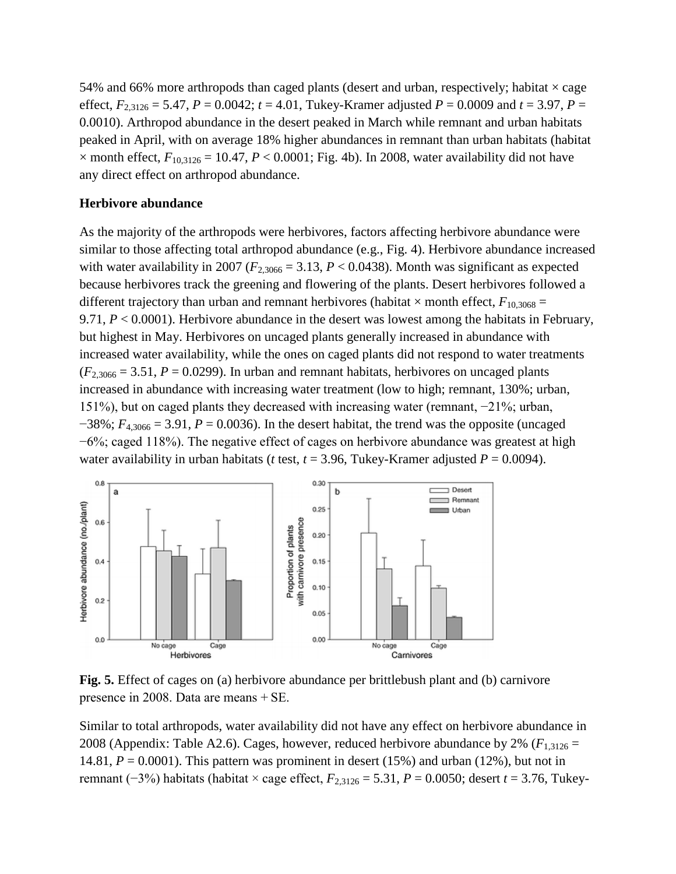54% and 66% more arthropods than caged plants (desert and urban, respectively; habitat  $\times$  cage effect,  $F_{2,3126} = 5.47$ ,  $P = 0.0042$ ;  $t = 4.01$ , Tukey-Kramer adjusted  $P = 0.0009$  and  $t = 3.97$ ,  $P =$ 0.0010). Arthropod abundance in the desert peaked in March while remnant and urban habitats peaked in April, with on average 18% higher abundances in remnant than urban habitats (habitat  $\times$  month effect,  $F_{10,3126} = 10.47$ ,  $P < 0.0001$ ; Fig. 4b). In 2008, water availability did not have any direct effect on arthropod abundance.

#### **Herbivore abundance**

As the majority of the arthropods were herbivores, factors affecting herbivore abundance were similar to those affecting total arthropod abundance (e.g., Fig. 4). Herbivore abundance increased with water availability in 2007 ( $F_{2,3066} = 3.13$ ,  $P < 0.0438$ ). Month was significant as expected because herbivores track the greening and flowering of the plants. Desert herbivores followed a different trajectory than urban and remnant herbivores (habitat  $\times$  month effect,  $F_{10,3068}$  = 9.71,  $P < 0.0001$ ). Herbivore abundance in the desert was lowest among the habitats in February, but highest in May. Herbivores on uncaged plants generally increased in abundance with increased water availability, while the ones on caged plants did not respond to water treatments  $(F_{2,3066} = 3.51, P = 0.0299)$ . In urban and remnant habitats, herbivores on uncaged plants increased in abundance with increasing water treatment (low to high; remnant, 130%; urban, 151%), but on caged plants they decreased with increasing water (remnant, −21%; urban,  $-38\%$ ;  $F_{4,3066} = 3.91$ ,  $P = 0.0036$ ). In the desert habitat, the trend was the opposite (uncaged −6%; caged 118%). The negative effect of cages on herbivore abundance was greatest at high water availability in urban habitats (*t* test,  $t = 3.96$ , Tukey-Kramer adjusted  $P = 0.0094$ ).



**Fig. 5.** Effect of cages on (a) herbivore abundance per brittlebush plant and (b) carnivore presence in 2008. Data are means + SE.

Similar to total arthropods, water availability did not have any effect on herbivore abundance in 2008 (Appendix: Table A2.6). Cages, however, reduced herbivore abundance by 2% ( $F_{1,3126}$  = 14.81,  $P = 0.0001$ ). This pattern was prominent in desert (15%) and urban (12%), but not in remnant (−3%) habitats (habitat × cage effect, *F*2,3126 = 5.31, *P* = 0.0050; desert *t* = 3.76, Tukey-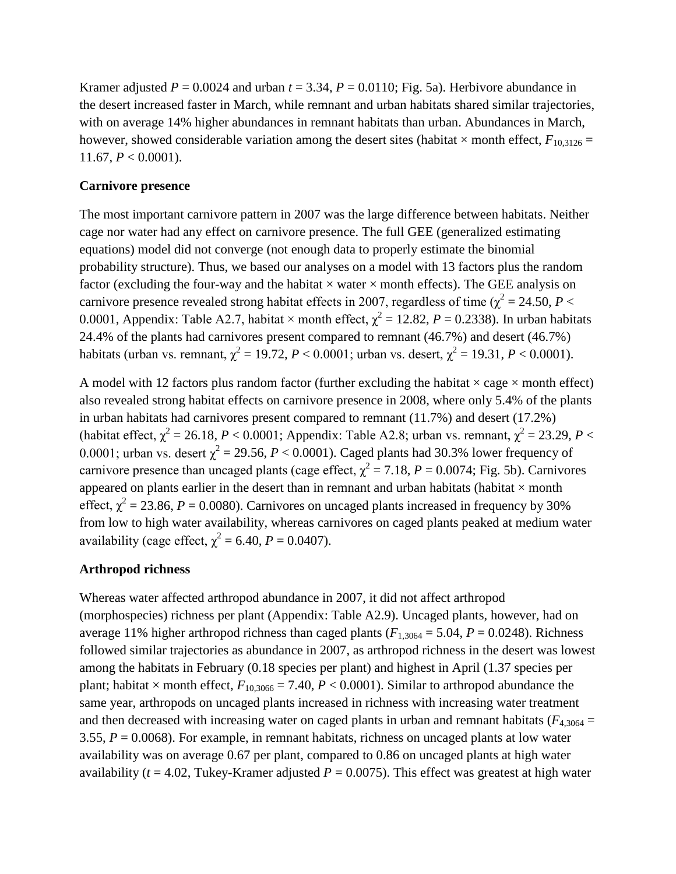Kramer adjusted  $P = 0.0024$  and urban  $t = 3.34$ ,  $P = 0.0110$ ; Fig. 5a). Herbivore abundance in the desert increased faster in March, while remnant and urban habitats shared similar trajectories, with on average 14% higher abundances in remnant habitats than urban. Abundances in March, however, showed considerable variation among the desert sites (habitat  $\times$  month effect,  $F_{10,3126}$  = 11.67, *P* < 0.0001).

#### **Carnivore presence**

The most important carnivore pattern in 2007 was the large difference between habitats. Neither cage nor water had any effect on carnivore presence. The full GEE (generalized estimating equations) model did not converge (not enough data to properly estimate the binomial probability structure). Thus, we based our analyses on a model with 13 factors plus the random factor (excluding the four-way and the habitat  $\times$  water  $\times$  month effects). The GEE analysis on carnivore presence revealed strong habitat effects in 2007, regardless of time ( $\chi^2$  = 24.50, *P* < 0.0001, Appendix: Table A2.7, habitat × month effect,  $\chi^2 = 12.82$ ,  $P = 0.2338$ ). In urban habitats 24.4% of the plants had carnivores present compared to remnant (46.7%) and desert (46.7%) habitats (urban vs. remnant,  $\chi^2 = 19.72$ ,  $P < 0.0001$ ; urban vs. desert,  $\chi^2 = 19.31$ ,  $P < 0.0001$ ).

A model with 12 factors plus random factor (further excluding the habitat  $\times$  cage  $\times$  month effect) also revealed strong habitat effects on carnivore presence in 2008, where only 5.4% of the plants in urban habitats had carnivores present compared to remnant (11.7%) and desert (17.2%) (habitat effect,  $\chi^2 = 26.18$ ,  $P < 0.0001$ ; Appendix: Table A2.8; urban vs. remnant,  $\chi^2 = 23.29$ ,  $P <$ 0.0001; urban vs. desert  $\chi^2$  = 29.56, *P* < 0.0001). Caged plants had 30.3% lower frequency of carnivore presence than uncaged plants (cage effect,  $\chi^2 = 7.18$ ,  $P = 0.0074$ ; Fig. 5b). Carnivores appeared on plants earlier in the desert than in remnant and urban habitats (habitat  $\times$  month effect,  $\chi^2 = 23.86$ ,  $P = 0.0080$ ). Carnivores on uncaged plants increased in frequency by 30% from low to high water availability, whereas carnivores on caged plants peaked at medium water availability (cage effect,  $\chi^2 = 6.40$ ,  $P = 0.0407$ ).

#### **Arthropod richness**

Whereas water affected arthropod abundance in 2007, it did not affect arthropod (morphospecies) richness per plant (Appendix: Table A2.9). Uncaged plants, however, had on average 11% higher arthropod richness than caged plants  $(F_{1,3064} = 5.04, P = 0.0248)$ . Richness followed similar trajectories as abundance in 2007, as arthropod richness in the desert was lowest among the habitats in February (0.18 species per plant) and highest in April (1.37 species per plant; habitat  $\times$  month effect,  $F_{10,3066} = 7.40$ ,  $P < 0.0001$ ). Similar to arthropod abundance the same year, arthropods on uncaged plants increased in richness with increasing water treatment and then decreased with increasing water on caged plants in urban and remnant habitats  $(F_{4,3064} =$ 3.55,  $P = 0.0068$ ). For example, in remnant habitats, richness on uncaged plants at low water availability was on average 0.67 per plant, compared to 0.86 on uncaged plants at high water availability ( $t = 4.02$ , Tukey-Kramer adjusted  $P = 0.0075$ ). This effect was greatest at high water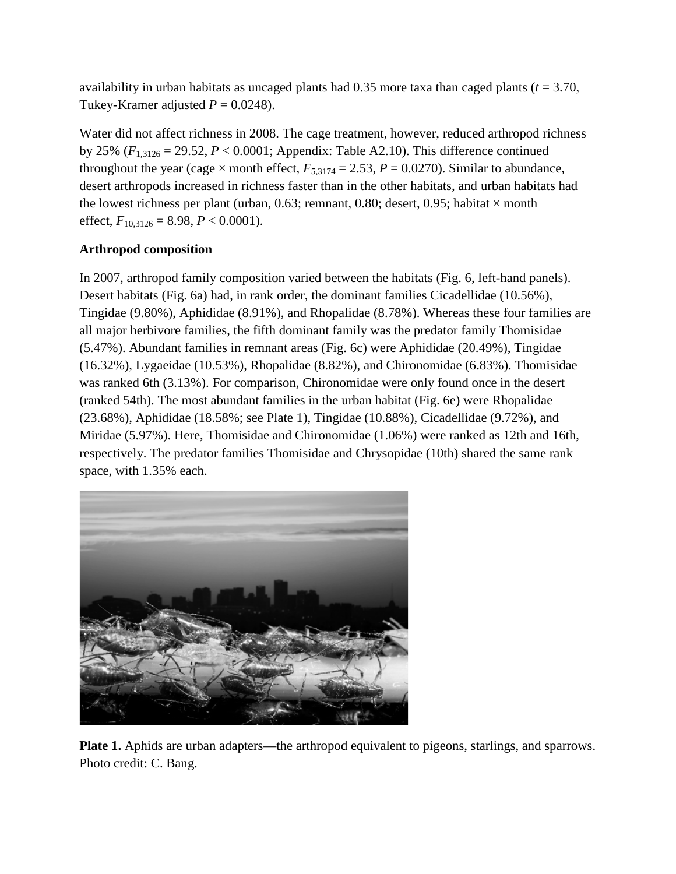availability in urban habitats as uncaged plants had 0.35 more taxa than caged plants (*t* = 3.70, Tukey-Kramer adjusted  $P = 0.0248$ ).

Water did not affect richness in 2008. The cage treatment, however, reduced arthropod richness by 25%  $(F_{1,3126} = 29.52, P < 0.0001$ ; Appendix: Table A2.10). This difference continued throughout the year (cage  $\times$  month effect,  $F_{5,3174} = 2.53$ ,  $P = 0.0270$ ). Similar to abundance, desert arthropods increased in richness faster than in the other habitats, and urban habitats had the lowest richness per plant (urban, 0.63; remnant, 0.80; desert, 0.95; habitat  $\times$  month effect,  $F_{10,3126} = 8.98$ ,  $P < 0.0001$ ).

## **Arthropod composition**

In 2007, arthropod family composition varied between the habitats (Fig. 6, left-hand panels). Desert habitats (Fig. 6a) had, in rank order, the dominant families Cicadellidae (10.56%), Tingidae (9.80%), Aphididae (8.91%), and Rhopalidae (8.78%). Whereas these four families are all major herbivore families, the fifth dominant family was the predator family Thomisidae (5.47%). Abundant families in remnant areas (Fig. 6c) were Aphididae (20.49%), Tingidae (16.32%), Lygaeidae (10.53%), Rhopalidae (8.82%), and Chironomidae (6.83%). Thomisidae was ranked 6th (3.13%). For comparison, Chironomidae were only found once in the desert (ranked 54th). The most abundant families in the urban habitat (Fig. 6e) were Rhopalidae (23.68%), Aphididae (18.58%; see Plate 1), Tingidae (10.88%), Cicadellidae (9.72%), and Miridae (5.97%). Here, Thomisidae and Chironomidae (1.06%) were ranked as 12th and 16th, respectively. The predator families Thomisidae and Chrysopidae (10th) shared the same rank space, with 1.35% each.



**Plate 1.** Aphids are urban adapters—the arthropod equivalent to pigeons, starlings, and sparrows. Photo credit: C. Bang.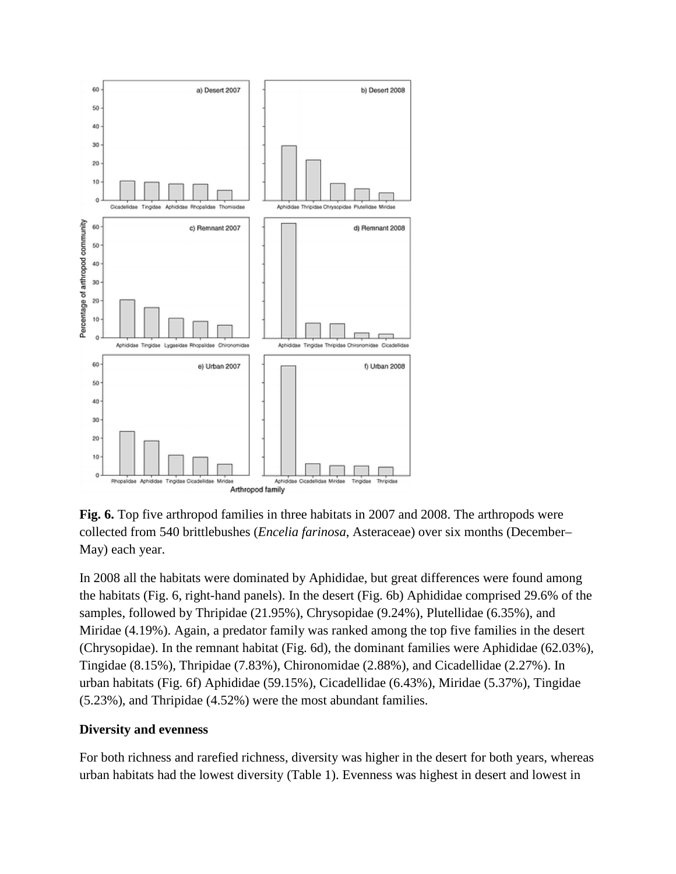

**Fig. 6.** Top five arthropod families in three habitats in 2007 and 2008. The arthropods were collected from 540 brittlebushes (*Encelia farinosa*, Asteraceae) over six months (December– May) each year.

In 2008 all the habitats were dominated by Aphididae, but great differences were found among the habitats (Fig. 6, right-hand panels). In the desert (Fig. 6b) Aphididae comprised 29.6% of the samples, followed by Thripidae (21.95%), Chrysopidae (9.24%), Plutellidae (6.35%), and Miridae (4.19%). Again, a predator family was ranked among the top five families in the desert (Chrysopidae). In the remnant habitat (Fig. 6d), the dominant families were Aphididae (62.03%), Tingidae (8.15%), Thripidae (7.83%), Chironomidae (2.88%), and Cicadellidae (2.27%). In urban habitats (Fig. 6f) Aphididae (59.15%), Cicadellidae (6.43%), Miridae (5.37%), Tingidae (5.23%), and Thripidae (4.52%) were the most abundant families.

#### **Diversity and evenness**

For both richness and rarefied richness, diversity was higher in the desert for both years, whereas urban habitats had the lowest diversity (Table 1). Evenness was highest in desert and lowest in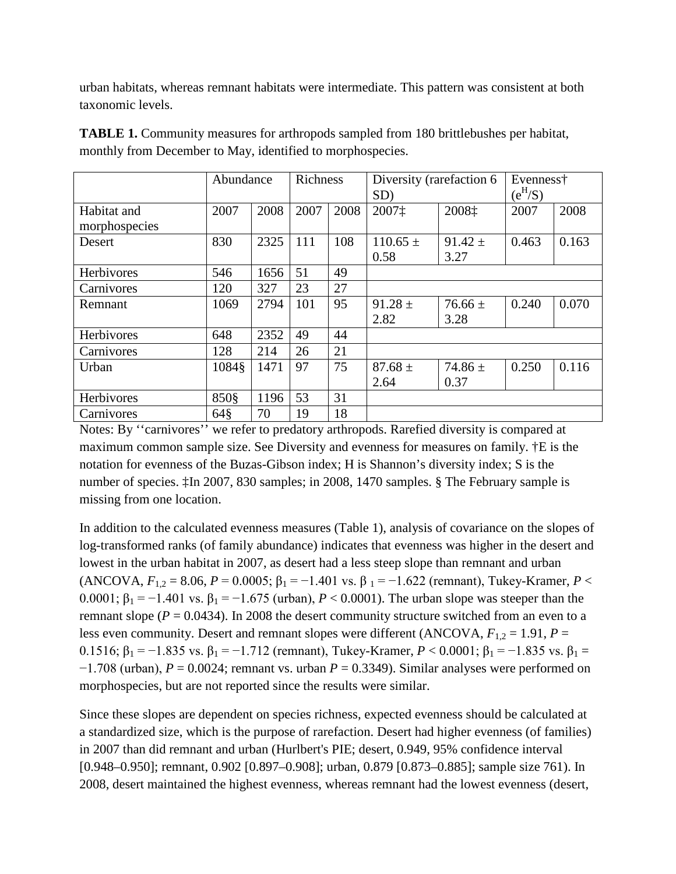urban habitats, whereas remnant habitats were intermediate. This pattern was consistent at both taxonomic levels.

|                              | Abundance |      | Richness |      | Diversity (rarefaction 6<br>SD) |                     | Evenness†<br>$(e^H/S)$ |       |
|------------------------------|-----------|------|----------|------|---------------------------------|---------------------|------------------------|-------|
| Habitat and<br>morphospecies | 2007      | 2008 | 2007     | 2008 | 20071                           | 2008 <sup>±</sup>   | 2007                   | 2008  |
| Desert                       | 830       | 2325 | 111      | 108  | $110.65 \pm$<br>0.58            | $91.42 \pm$<br>3.27 | 0.463                  | 0.163 |
| Herbivores                   | 546       | 1656 | 51       | 49   |                                 |                     |                        |       |
| Carnivores                   | 120       | 327  | 23       | 27   |                                 |                     |                        |       |
| Remnant                      | 1069      | 2794 | 101      | 95   | $91.28 \pm$<br>2.82             | $76.66 \pm$<br>3.28 | 0.240                  | 0.070 |
| Herbivores                   | 648       | 2352 | 49       | 44   |                                 |                     |                        |       |
| Carnivores                   | 128       | 214  | 26       | 21   |                                 |                     |                        |       |
| Urban                        | 1084§     | 1471 | 97       | 75   | $87.68 \pm$<br>2.64             | 74.86 $\pm$<br>0.37 | 0.250                  | 0.116 |
| Herbivores                   | 850§      | 1196 | 53       | 31   |                                 |                     |                        |       |
| Carnivores                   | 64§       | 70   | 19       | 18   |                                 |                     |                        |       |

**TABLE 1.** Community measures for arthropods sampled from 180 brittlebushes per habitat, monthly from December to May, identified to morphospecies.

Notes: By ''carnivores'' we refer to predatory arthropods. Rarefied diversity is compared at maximum common sample size. See Diversity and evenness for measures on family. †E is the notation for evenness of the Buzas-Gibson index; H is Shannon's diversity index; S is the number of species. ‡In 2007, 830 samples; in 2008, 1470 samples. § The February sample is missing from one location.

In addition to the calculated evenness measures (Table 1), analysis of covariance on the slopes of log-transformed ranks (of family abundance) indicates that evenness was higher in the desert and lowest in the urban habitat in 2007, as desert had a less steep slope than remnant and urban (ANCOVA,  $F_{1,2} = 8.06$ ,  $P = 0.0005$ ;  $β_1 = −1.401$  vs.  $β_1 = −1.622$  (remnant), Tukey-Kramer,  $P <$ 0.0001;  $β_1 = -1.401$  vs.  $β_1 = -1.675$  (urban),  $P < 0.0001$ ). The urban slope was steeper than the remnant slope ( $P = 0.0434$ ). In 2008 the desert community structure switched from an even to a less even community. Desert and remnant slopes were different (ANCOVA,  $F_{1,2} = 1.91$ ,  $P =$ 0.1516;  $β₁ = −1.835$  vs.  $β₁ = −1.712$  (remnant), Tukey-Kramer,  $P < 0.0001$ ;  $β₁ = −1.835$  vs.  $β₁ =$ −1.708 (urban), *P* = 0.0024; remnant vs. urban *P* = 0.3349). Similar analyses were performed on morphospecies, but are not reported since the results were similar.

Since these slopes are dependent on species richness, expected evenness should be calculated at a standardized size, which is the purpose of rarefaction. Desert had higher evenness (of families) in 2007 than did remnant and urban (Hurlbert's PIE; desert, 0.949, 95% confidence interval [0.948–0.950]; remnant, 0.902 [0.897–0.908]; urban, 0.879 [0.873–0.885]; sample size 761). In 2008, desert maintained the highest evenness, whereas remnant had the lowest evenness (desert,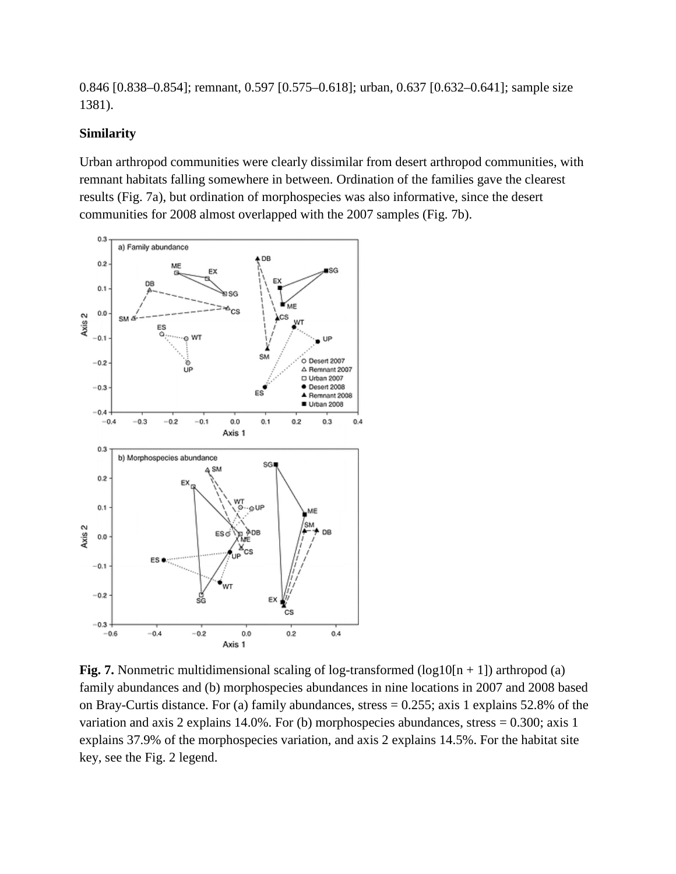0.846 [0.838–0.854]; remnant, 0.597 [0.575–0.618]; urban, 0.637 [0.632–0.641]; sample size 1381).

#### **Similarity**

Urban arthropod communities were clearly dissimilar from desert arthropod communities, with remnant habitats falling somewhere in between. Ordination of the families gave the clearest results (Fig. 7a), but ordination of morphospecies was also informative, since the desert communities for 2008 almost overlapped with the 2007 samples (Fig. 7b).



**Fig. 7.** Nonmetric multidimensional scaling of log-transformed  $(\log 10[n + 1])$  arthropod (a) family abundances and (b) morphospecies abundances in nine locations in 2007 and 2008 based on Bray-Curtis distance. For (a) family abundances, stress = 0.255; axis 1 explains 52.8% of the variation and axis 2 explains 14.0%. For (b) morphospecies abundances, stress = 0.300; axis 1 explains 37.9% of the morphospecies variation, and axis 2 explains 14.5%. For the habitat site key, see the Fig. 2 legend.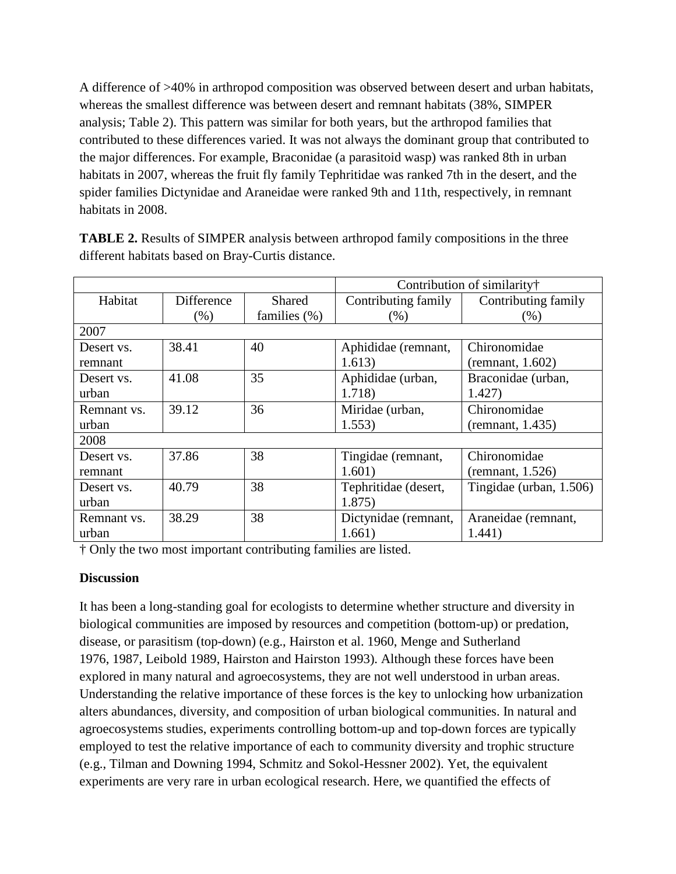A difference of >40% in arthropod composition was observed between desert and urban habitats, whereas the smallest difference was between desert and remnant habitats (38%, SIMPER analysis; Table 2). This pattern was similar for both years, but the arthropod families that contributed to these differences varied. It was not always the dominant group that contributed to the major differences. For example, Braconidae (a parasitoid wasp) was ranked 8th in urban habitats in 2007, whereas the fruit fly family Tephritidae was ranked 7th in the desert, and the spider families Dictynidae and Araneidae were ranked 9th and 11th, respectively, in remnant habitats in 2008.

|             |                   |                 | Contribution of similarity† |                         |  |  |  |
|-------------|-------------------|-----------------|-----------------------------|-------------------------|--|--|--|
| Habitat     | <b>Difference</b> | Shared          | Contributing family         | Contributing family     |  |  |  |
|             | (% )              | families $(\%)$ | (% )                        | (% )                    |  |  |  |
| 2007        |                   |                 |                             |                         |  |  |  |
| Desert vs.  | 38.41             | 40              | Aphididae (remnant,         | Chironomidae            |  |  |  |
| remnant     |                   |                 | 1.613)                      | (remnant, 1.602)        |  |  |  |
| Desert vs.  | 41.08             | 35              | Aphididae (urban,           | Braconidae (urban,      |  |  |  |
| urban       |                   |                 | 1.718)                      | 1.427)                  |  |  |  |
| Remnant vs. | 39.12             | 36              | Miridae (urban,             | Chironomidae            |  |  |  |
| urban       |                   |                 | 1.553)                      | (remnant, 1.435)        |  |  |  |
| 2008        |                   |                 |                             |                         |  |  |  |
| Desert vs.  | 37.86             | 38              | Tingidae (remnant,          | Chironomidae            |  |  |  |
| remnant     |                   |                 | 1.601)                      | (remnant, 1.526)        |  |  |  |
| Desert vs.  | 40.79             | 38              | Tephritidae (desert,        | Tingidae (urban, 1.506) |  |  |  |
| urban       |                   |                 | 1.875)                      |                         |  |  |  |
| Remnant vs. | 38.29             | 38              | Dictynidae (remnant,        | Araneidae (remnant,     |  |  |  |
| urban       |                   |                 | 1.661)                      | 1.441)                  |  |  |  |

**TABLE 2.** Results of SIMPER analysis between arthropod family compositions in the three different habitats based on Bray-Curtis distance.

† Only the two most important contributing families are listed.

### **Discussion**

It has been a long-standing goal for ecologists to determine whether structure and diversity in biological communities are imposed by resources and competition (bottom-up) or predation, disease, or parasitism (top-down) (e.g., Hairston et al. 1960, Menge and Sutherland 1976, 1987, Leibold 1989, Hairston and Hairston 1993). Although these forces have been explored in many natural and agroecosystems, they are not well understood in urban areas. Understanding the relative importance of these forces is the key to unlocking how urbanization alters abundances, diversity, and composition of urban biological communities. In natural and agroecosystems studies, experiments controlling bottom-up and top-down forces are typically employed to test the relative importance of each to community diversity and trophic structure (e.g., Tilman and Downing 1994, Schmitz and Sokol-Hessner 2002). Yet, the equivalent experiments are very rare in urban ecological research. Here, we quantified the effects of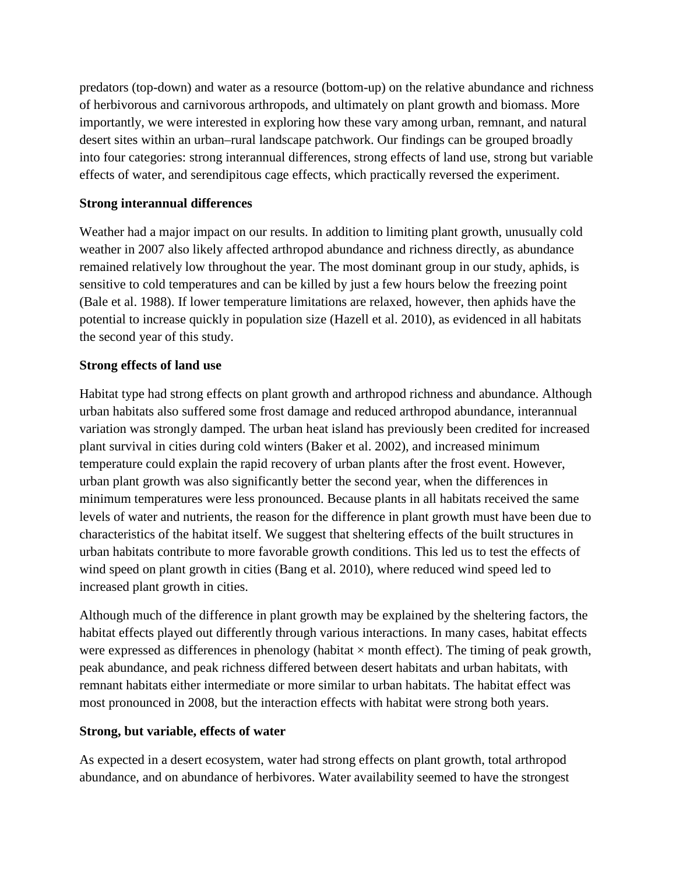predators (top-down) and water as a resource (bottom-up) on the relative abundance and richness of herbivorous and carnivorous arthropods, and ultimately on plant growth and biomass. More importantly, we were interested in exploring how these vary among urban, remnant, and natural desert sites within an urban–rural landscape patchwork. Our findings can be grouped broadly into four categories: strong interannual differences, strong effects of land use, strong but variable effects of water, and serendipitous cage effects, which practically reversed the experiment.

### **Strong interannual differences**

Weather had a major impact on our results. In addition to limiting plant growth, unusually cold weather in 2007 also likely affected arthropod abundance and richness directly, as abundance remained relatively low throughout the year. The most dominant group in our study, aphids, is sensitive to cold temperatures and can be killed by just a few hours below the freezing point (Bale et al. 1988). If lower temperature limitations are relaxed, however, then aphids have the potential to increase quickly in population size (Hazell et al. 2010), as evidenced in all habitats the second year of this study.

## **Strong effects of land use**

Habitat type had strong effects on plant growth and arthropod richness and abundance. Although urban habitats also suffered some frost damage and reduced arthropod abundance, interannual variation was strongly damped. The urban heat island has previously been credited for increased plant survival in cities during cold winters (Baker et al. 2002), and increased minimum temperature could explain the rapid recovery of urban plants after the frost event. However, urban plant growth was also significantly better the second year, when the differences in minimum temperatures were less pronounced. Because plants in all habitats received the same levels of water and nutrients, the reason for the difference in plant growth must have been due to characteristics of the habitat itself. We suggest that sheltering effects of the built structures in urban habitats contribute to more favorable growth conditions. This led us to test the effects of wind speed on plant growth in cities (Bang et al. 2010), where reduced wind speed led to increased plant growth in cities.

Although much of the difference in plant growth may be explained by the sheltering factors, the habitat effects played out differently through various interactions. In many cases, habitat effects were expressed as differences in phenology (habitat  $\times$  month effect). The timing of peak growth, peak abundance, and peak richness differed between desert habitats and urban habitats, with remnant habitats either intermediate or more similar to urban habitats. The habitat effect was most pronounced in 2008, but the interaction effects with habitat were strong both years.

### **Strong, but variable, effects of water**

As expected in a desert ecosystem, water had strong effects on plant growth, total arthropod abundance, and on abundance of herbivores. Water availability seemed to have the strongest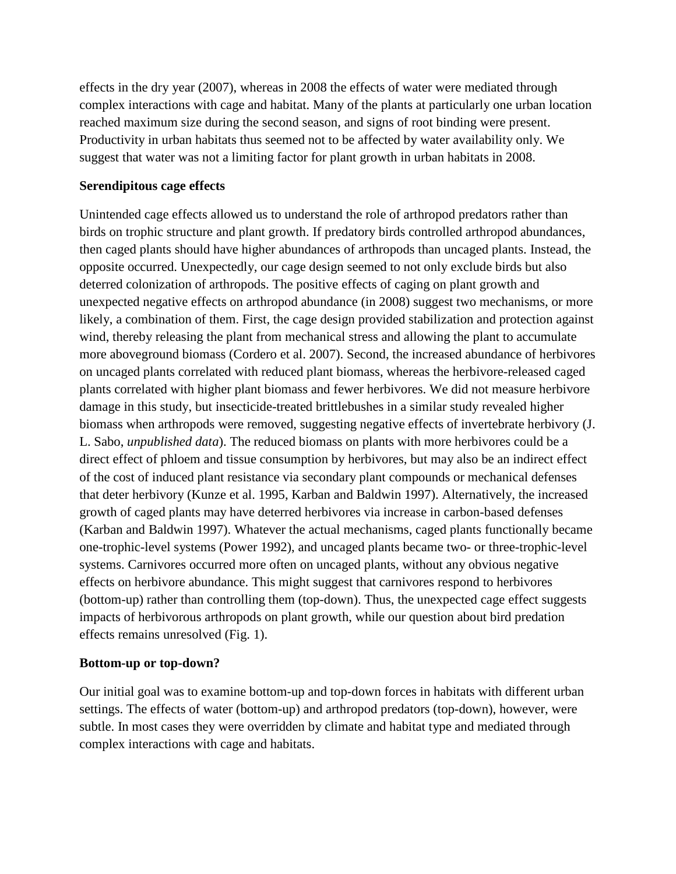effects in the dry year (2007), whereas in 2008 the effects of water were mediated through complex interactions with cage and habitat. Many of the plants at particularly one urban location reached maximum size during the second season, and signs of root binding were present. Productivity in urban habitats thus seemed not to be affected by water availability only. We suggest that water was not a limiting factor for plant growth in urban habitats in 2008.

#### **Serendipitous cage effects**

Unintended cage effects allowed us to understand the role of arthropod predators rather than birds on trophic structure and plant growth. If predatory birds controlled arthropod abundances, then caged plants should have higher abundances of arthropods than uncaged plants. Instead, the opposite occurred. Unexpectedly, our cage design seemed to not only exclude birds but also deterred colonization of arthropods. The positive effects of caging on plant growth and unexpected negative effects on arthropod abundance (in 2008) suggest two mechanisms, or more likely, a combination of them. First, the cage design provided stabilization and protection against wind, thereby releasing the plant from mechanical stress and allowing the plant to accumulate more aboveground biomass (Cordero et al. 2007). Second, the increased abundance of herbivores on uncaged plants correlated with reduced plant biomass, whereas the herbivore-released caged plants correlated with higher plant biomass and fewer herbivores. We did not measure herbivore damage in this study, but insecticide-treated brittlebushes in a similar study revealed higher biomass when arthropods were removed, suggesting negative effects of invertebrate herbivory (J. L. Sabo, *unpublished data*). The reduced biomass on plants with more herbivores could be a direct effect of phloem and tissue consumption by herbivores, but may also be an indirect effect of the cost of induced plant resistance via secondary plant compounds or mechanical defenses that deter herbivory (Kunze et al. 1995, Karban and Baldwin 1997). Alternatively, the increased growth of caged plants may have deterred herbivores via increase in carbon-based defenses (Karban and Baldwin 1997). Whatever the actual mechanisms, caged plants functionally became one-trophic-level systems (Power 1992), and uncaged plants became two- or three-trophic-level systems. Carnivores occurred more often on uncaged plants, without any obvious negative effects on herbivore abundance. This might suggest that carnivores respond to herbivores (bottom-up) rather than controlling them (top-down). Thus, the unexpected cage effect suggests impacts of herbivorous arthropods on plant growth, while our question about bird predation effects remains unresolved (Fig. 1).

#### **Bottom-up or top-down?**

Our initial goal was to examine bottom-up and top-down forces in habitats with different urban settings. The effects of water (bottom-up) and arthropod predators (top-down), however, were subtle. In most cases they were overridden by climate and habitat type and mediated through complex interactions with cage and habitats.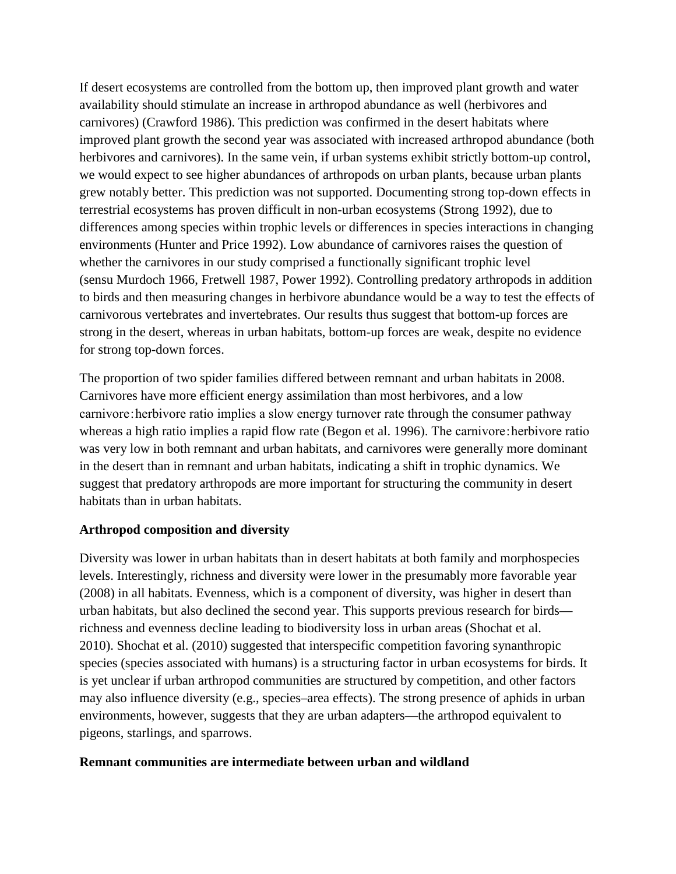If desert ecosystems are controlled from the bottom up, then improved plant growth and water availability should stimulate an increase in arthropod abundance as well (herbivores and carnivores) (Crawford 1986). This prediction was confirmed in the desert habitats where improved plant growth the second year was associated with increased arthropod abundance (both herbivores and carnivores). In the same vein, if urban systems exhibit strictly bottom-up control, we would expect to see higher abundances of arthropods on urban plants, because urban plants grew notably better. This prediction was not supported. Documenting strong top-down effects in terrestrial ecosystems has proven difficult in non-urban ecosystems (Strong 1992), due to differences among species within trophic levels or differences in species interactions in changing environments (Hunter and Price 1992). Low abundance of carnivores raises the question of whether the carnivores in our study comprised a functionally significant trophic level (sensu Murdoch 1966, Fretwell 1987, Power 1992). Controlling predatory arthropods in addition to birds and then measuring changes in herbivore abundance would be a way to test the effects of carnivorous vertebrates and invertebrates. Our results thus suggest that bottom-up forces are strong in the desert, whereas in urban habitats, bottom-up forces are weak, despite no evidence for strong top-down forces.

The proportion of two spider families differed between remnant and urban habitats in 2008. Carnivores have more efficient energy assimilation than most herbivores, and a low carnivore: herbivore ratio implies a slow energy turnover rate through the consumer pathway whereas a high ratio implies a rapid flow rate (Begon et al. 1996). The carnivore herbivore ratio was very low in both remnant and urban habitats, and carnivores were generally more dominant in the desert than in remnant and urban habitats, indicating a shift in trophic dynamics. We suggest that predatory arthropods are more important for structuring the community in desert habitats than in urban habitats.

### **Arthropod composition and diversity**

Diversity was lower in urban habitats than in desert habitats at both family and morphospecies levels. Interestingly, richness and diversity were lower in the presumably more favorable year (2008) in all habitats. Evenness, which is a component of diversity, was higher in desert than urban habitats, but also declined the second year. This supports previous research for birds richness and evenness decline leading to biodiversity loss in urban areas (Shochat et al. 2010). Shochat et al. (2010) suggested that interspecific competition favoring synanthropic species (species associated with humans) is a structuring factor in urban ecosystems for birds. It is yet unclear if urban arthropod communities are structured by competition, and other factors may also influence diversity (e.g., species–area effects). The strong presence of aphids in urban environments, however, suggests that they are urban adapters—the arthropod equivalent to pigeons, starlings, and sparrows.

### **Remnant communities are intermediate between urban and wildland**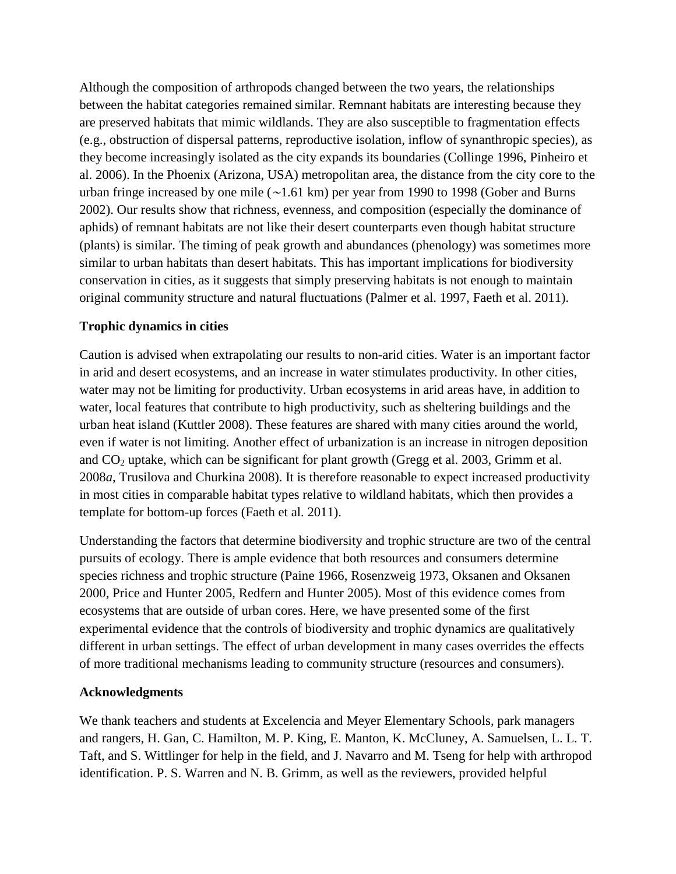Although the composition of arthropods changed between the two years, the relationships between the habitat categories remained similar. Remnant habitats are interesting because they are preserved habitats that mimic wildlands. They are also susceptible to fragmentation effects (e.g., obstruction of dispersal patterns, reproductive isolation, inflow of synanthropic species), as they become increasingly isolated as the city expands its boundaries (Collinge 1996, Pinheiro et al. 2006). In the Phoenix (Arizona, USA) metropolitan area, the distance from the city core to the urban fringe increased by one mile (∼1.61 km) per year from 1990 to 1998 (Gober and Burns 2002). Our results show that richness, evenness, and composition (especially the dominance of aphids) of remnant habitats are not like their desert counterparts even though habitat structure (plants) is similar. The timing of peak growth and abundances (phenology) was sometimes more similar to urban habitats than desert habitats. This has important implications for biodiversity conservation in cities, as it suggests that simply preserving habitats is not enough to maintain original community structure and natural fluctuations (Palmer et al. 1997, Faeth et al. 2011).

### **Trophic dynamics in cities**

Caution is advised when extrapolating our results to non-arid cities. Water is an important factor in arid and desert ecosystems, and an increase in water stimulates productivity. In other cities, water may not be limiting for productivity. Urban ecosystems in arid areas have, in addition to water, local features that contribute to high productivity, such as sheltering buildings and the urban heat island (Kuttler 2008). These features are shared with many cities around the world, even if water is not limiting. Another effect of urbanization is an increase in nitrogen deposition and  $CO<sub>2</sub>$  uptake, which can be significant for plant growth (Gregg et al. 2003, Grimm et al. 2008*a*, Trusilova and Churkina 2008). It is therefore reasonable to expect increased productivity in most cities in comparable habitat types relative to wildland habitats, which then provides a template for bottom-up forces (Faeth et al. 2011).

Understanding the factors that determine biodiversity and trophic structure are two of the central pursuits of ecology. There is ample evidence that both resources and consumers determine species richness and trophic structure (Paine 1966, Rosenzweig 1973, Oksanen and Oksanen 2000, Price and Hunter 2005, Redfern and Hunter 2005). Most of this evidence comes from ecosystems that are outside of urban cores. Here, we have presented some of the first experimental evidence that the controls of biodiversity and trophic dynamics are qualitatively different in urban settings. The effect of urban development in many cases overrides the effects of more traditional mechanisms leading to community structure (resources and consumers).

### **Acknowledgments**

We thank teachers and students at Excelencia and Meyer Elementary Schools, park managers and rangers, H. Gan, C. Hamilton, M. P. King, E. Manton, K. McCluney, A. Samuelsen, L. L. T. Taft, and S. Wittlinger for help in the field, and J. Navarro and M. Tseng for help with arthropod identification. P. S. Warren and N. B. Grimm, as well as the reviewers, provided helpful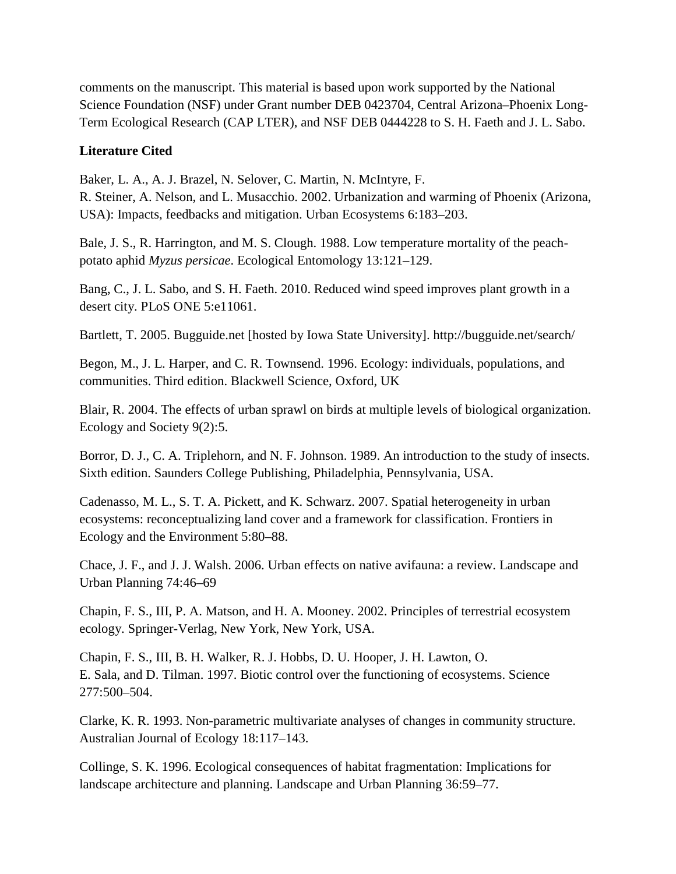comments on the manuscript. This material is based upon work supported by the National Science Foundation (NSF) under Grant number DEB 0423704, Central Arizona–Phoenix Long-Term Ecological Research (CAP LTER), and NSF DEB 0444228 to S. H. Faeth and J. L. Sabo.

### **Literature Cited**

Baker, L. A., A. J. Brazel, N. Selover, C. Martin, N. McIntyre, F. R. Steiner, A. Nelson, and L. Musacchio. 2002. Urbanization and warming of Phoenix (Arizona, USA): Impacts, feedbacks and mitigation. Urban Ecosystems 6:183–203.

Bale, J. S., R. Harrington, and M. S. Clough. 1988. Low temperature mortality of the peachpotato aphid *Myzus persicae*. Ecological Entomology 13:121–129.

Bang, C., J. L. Sabo, and S. H. Faeth. 2010. Reduced wind speed improves plant growth in a desert city. PLoS ONE 5:e11061.

Bartlett, T. 2005. Bugguide.net [hosted by Iowa State University]. http://bugguide.net/search/

Begon, M., J. L. Harper, and C. R. Townsend. 1996. Ecology: individuals, populations, and communities. Third edition. Blackwell Science, Oxford, UK

Blair, R. 2004. The effects of urban sprawl on birds at multiple levels of biological organization. Ecology and Society 9(2):5.

Borror, D. J., C. A. Triplehorn, and N. F. Johnson. 1989. An introduction to the study of insects. Sixth edition. Saunders College Publishing, Philadelphia, Pennsylvania, USA.

Cadenasso, M. L., S. T. A. Pickett, and K. Schwarz. 2007. Spatial heterogeneity in urban ecosystems: reconceptualizing land cover and a framework for classification. Frontiers in Ecology and the Environment 5:80–88.

Chace, J. F., and J. J. Walsh. 2006. Urban effects on native avifauna: a review. Landscape and Urban Planning 74:46–69

Chapin, F. S., III, P. A. Matson, and H. A. Mooney. 2002. Principles of terrestrial ecosystem ecology. Springer-Verlag, New York, New York, USA.

Chapin, F. S., III, B. H. Walker, R. J. Hobbs, D. U. Hooper, J. H. Lawton, O. E. Sala, and D. Tilman. 1997. Biotic control over the functioning of ecosystems. Science 277:500–504.

Clarke, K. R. 1993. Non-parametric multivariate analyses of changes in community structure. Australian Journal of Ecology 18:117–143.

Collinge, S. K. 1996. Ecological consequences of habitat fragmentation: Implications for landscape architecture and planning. Landscape and Urban Planning 36:59–77.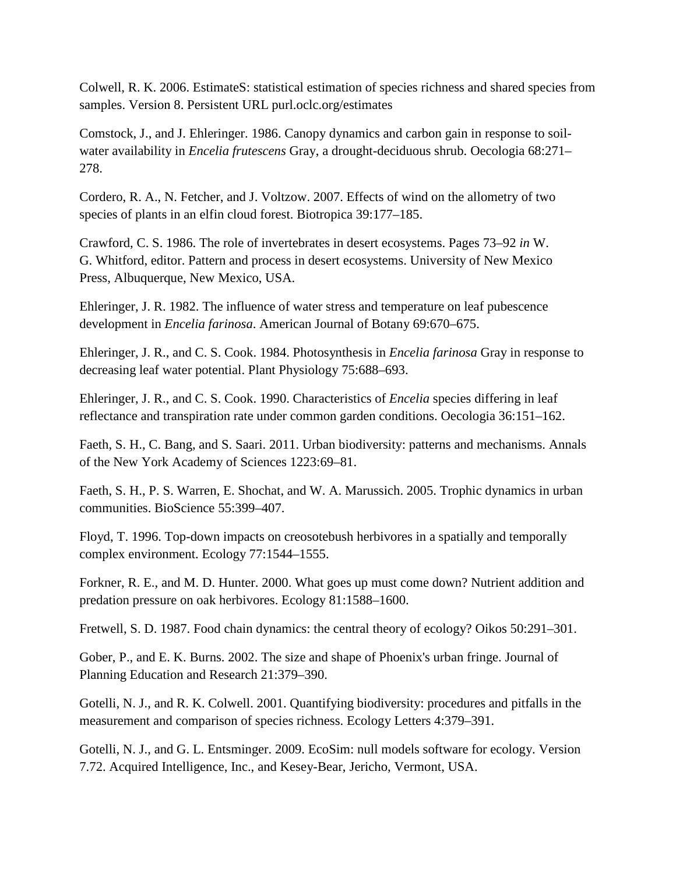Colwell, R. K. 2006. EstimateS: statistical estimation of species richness and shared species from samples. Version 8. Persistent URL purl.oclc.org/estimates

Comstock, J., and J. Ehleringer. 1986. Canopy dynamics and carbon gain in response to soilwater availability in *Encelia frutescens* Gray, a drought-deciduous shrub. Oecologia 68:271– 278.

Cordero, R. A., N. Fetcher, and J. Voltzow. 2007. Effects of wind on the allometry of two species of plants in an elfin cloud forest. Biotropica 39:177–185.

Crawford, C. S. 1986. The role of invertebrates in desert ecosystems. Pages 73–92 *in* W. G. Whitford, editor. Pattern and process in desert ecosystems. University of New Mexico Press, Albuquerque, New Mexico, USA.

Ehleringer, J. R. 1982. The influence of water stress and temperature on leaf pubescence development in *Encelia farinosa*. American Journal of Botany 69:670–675.

Ehleringer, J. R., and C. S. Cook. 1984. Photosynthesis in *Encelia farinosa* Gray in response to decreasing leaf water potential. Plant Physiology 75:688–693.

Ehleringer, J. R., and C. S. Cook. 1990. Characteristics of *Encelia* species differing in leaf reflectance and transpiration rate under common garden conditions. Oecologia 36:151–162.

Faeth, S. H., C. Bang, and S. Saari. 2011. Urban biodiversity: patterns and mechanisms. Annals of the New York Academy of Sciences 1223:69–81.

Faeth, S. H., P. S. Warren, E. Shochat, and W. A. Marussich. 2005. Trophic dynamics in urban communities. BioScience 55:399–407.

Floyd, T. 1996. Top-down impacts on creosotebush herbivores in a spatially and temporally complex environment. Ecology 77:1544–1555.

Forkner, R. E., and M. D. Hunter. 2000. What goes up must come down? Nutrient addition and predation pressure on oak herbivores. Ecology 81:1588–1600.

Fretwell, S. D. 1987. Food chain dynamics: the central theory of ecology? Oikos 50:291–301.

Gober, P., and E. K. Burns. 2002. The size and shape of Phoenix's urban fringe. Journal of Planning Education and Research 21:379–390.

Gotelli, N. J., and R. K. Colwell. 2001. Quantifying biodiversity: procedures and pitfalls in the measurement and comparison of species richness. Ecology Letters 4:379–391.

Gotelli, N. J., and G. L. Entsminger. 2009. EcoSim: null models software for ecology. Version 7.72. Acquired Intelligence, Inc., and Kesey-Bear, Jericho, Vermont, USA.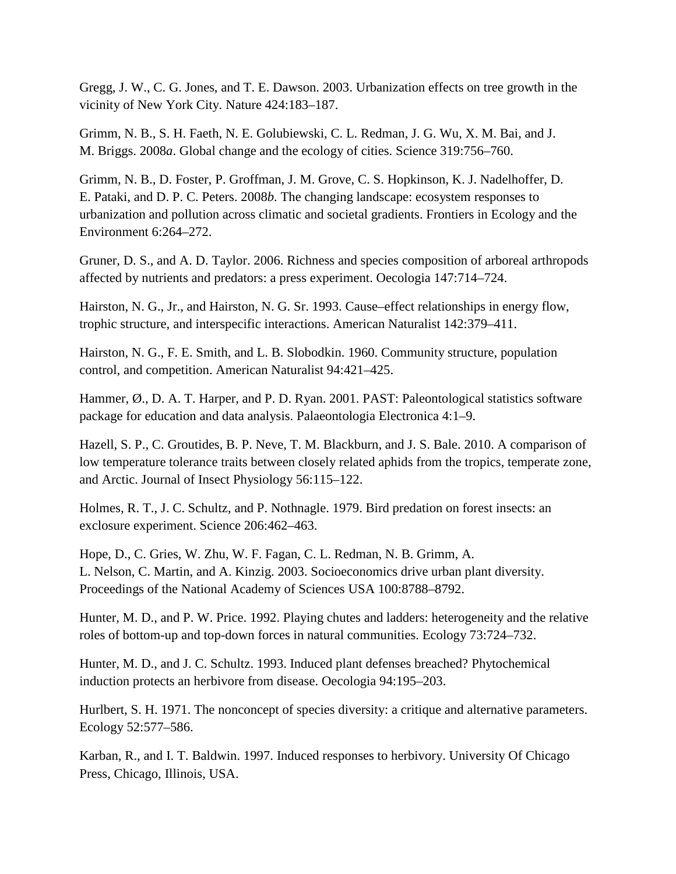Gregg, J. W., C. G. Jones, and T. E. Dawson. 2003. Urbanization effects on tree growth in the vicinity of New York City. Nature 424:183–187.

Grimm, N. B., S. H. Faeth, N. E. Golubiewski, C. L. Redman, J. G. Wu, X. M. Bai, and J. M. Briggs. 2008*a*. Global change and the ecology of cities. Science 319:756–760.

Grimm, N. B., D. Foster, P. Groffman, J. M. Grove, C. S. Hopkinson, K. J. Nadelhoffer, D. E. Pataki, and D. P. C. Peters. 2008*b*. The changing landscape: ecosystem responses to urbanization and pollution across climatic and societal gradients. Frontiers in Ecology and the Environment 6:264–272.

Gruner, D. S., and A. D. Taylor. 2006. Richness and species composition of arboreal arthropods affected by nutrients and predators: a press experiment. Oecologia 147:714–724.

Hairston, N. G., Jr., and Hairston, N. G. Sr. 1993. Cause–effect relationships in energy flow, trophic structure, and interspecific interactions. American Naturalist 142:379–411.

Hairston, N. G., F. E. Smith, and L. B. Slobodkin. 1960. Community structure, population control, and competition. American Naturalist 94:421–425.

Hammer,  $\emptyset$ ., D. A. T. Harper, and P. D. Ryan. 2001. PAST: Paleontological statistics software package for education and data analysis. Palaeontologia Electronica 4:1–9.

Hazell, S. P., C. Groutides, B. P. Neve, T. M. Blackburn, and J. S. Bale. 2010. A comparison of low temperature tolerance traits between closely related aphids from the tropics, temperate zone, and Arctic. Journal of Insect Physiology 56:115–122.

Holmes, R. T., J. C. Schultz, and P. Nothnagle. 1979. Bird predation on forest insects: an exclosure experiment. Science 206:462–463.

Hope, D., C. Gries, W. Zhu, W. F. Fagan, C. L. Redman, N. B. Grimm, A. L. Nelson, C. Martin, and A. Kinzig. 2003. Socioeconomics drive urban plant diversity. Proceedings of the National Academy of Sciences USA 100:8788–8792.

Hunter, M. D., and P. W. Price. 1992. Playing chutes and ladders: heterogeneity and the relative roles of bottom-up and top-down forces in natural communities. Ecology 73:724–732.

Hunter, M. D., and J. C. Schultz. 1993. Induced plant defenses breached? Phytochemical induction protects an herbivore from disease. Oecologia 94:195–203.

Hurlbert, S. H. 1971. The nonconcept of species diversity: a critique and alternative parameters. Ecology 52:577–586.

Karban, R., and I. T. Baldwin. 1997. Induced responses to herbivory. University Of Chicago Press, Chicago, Illinois, USA.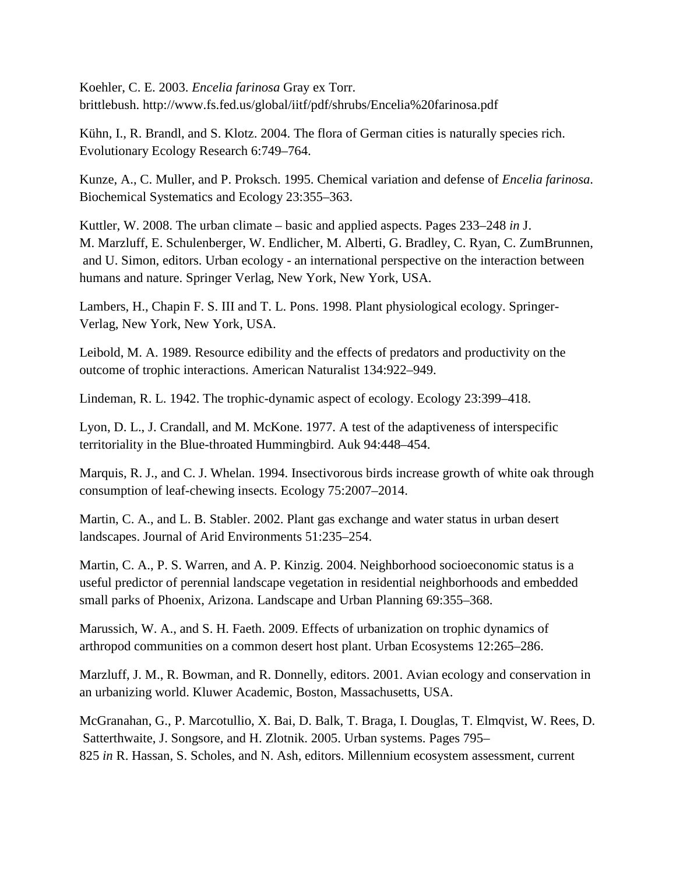Koehler, C. E. 2003. *Encelia farinosa* Gray ex Torr. brittlebush. http://www.fs.fed.us/global/iitf/pdf/shrubs/Encelia%20farinosa.pdf

Kühn, I., R. Brandl, and S. Klotz. 2004. The flora of German cities is naturally species rich. Evolutionary Ecology Research 6:749–764.

Kunze, A., C. Muller, and P. Proksch. 1995. Chemical variation and defense of *Encelia farinosa*. Biochemical Systematics and Ecology 23:355–363.

Kuttler, W. 2008. The urban climate – basic and applied aspects. Pages 233–248 *in* J. M. Marzluff, E. Schulenberger, W. Endlicher, M. Alberti, G. Bradley, C. Ryan, C. ZumBrunnen, and U. Simon, editors. Urban ecology - an international perspective on the interaction between humans and nature. Springer Verlag, New York, New York, USA.

Lambers, H., Chapin F. S. III and T. L. Pons. 1998. Plant physiological ecology. Springer-Verlag, New York, New York, USA.

Leibold, M. A. 1989. Resource edibility and the effects of predators and productivity on the outcome of trophic interactions. American Naturalist 134:922–949.

Lindeman, R. L. 1942. The trophic-dynamic aspect of ecology. Ecology 23:399–418.

Lyon, D. L., J. Crandall, and M. McKone. 1977. A test of the adaptiveness of interspecific territoriality in the Blue-throated Hummingbird. Auk 94:448–454.

Marquis, R. J., and C. J. Whelan. 1994. Insectivorous birds increase growth of white oak through consumption of leaf-chewing insects. Ecology 75:2007–2014.

Martin, C. A., and L. B. Stabler. 2002. Plant gas exchange and water status in urban desert landscapes. Journal of Arid Environments 51:235–254.

Martin, C. A., P. S. Warren, and A. P. Kinzig. 2004. Neighborhood socioeconomic status is a useful predictor of perennial landscape vegetation in residential neighborhoods and embedded small parks of Phoenix, Arizona. Landscape and Urban Planning 69:355–368.

Marussich, W. A., and S. H. Faeth. 2009. Effects of urbanization on trophic dynamics of arthropod communities on a common desert host plant. Urban Ecosystems 12:265–286.

Marzluff, J. M., R. Bowman, and R. Donnelly, editors. 2001. Avian ecology and conservation in an urbanizing world. Kluwer Academic, Boston, Massachusetts, USA.

McGranahan, G., P. Marcotullio, X. Bai, D. Balk, T. Braga, I. Douglas, T. Elmqvist, W. Rees, D. Satterthwaite, J. Songsore, and H. Zlotnik. 2005. Urban systems. Pages 795– 825 *in* R. Hassan, S. Scholes, and N. Ash, editors. Millennium ecosystem assessment, current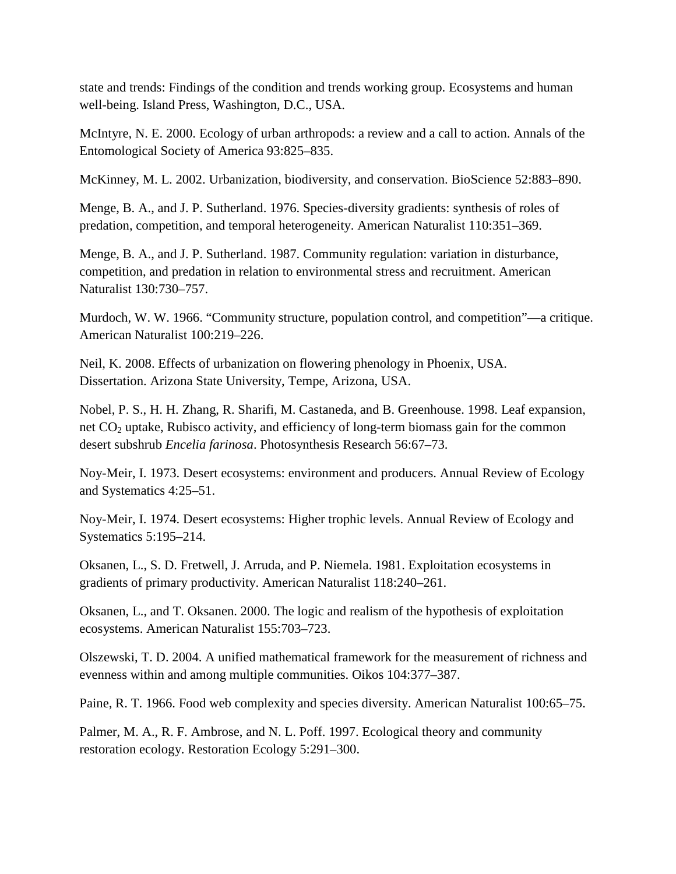state and trends: Findings of the condition and trends working group. Ecosystems and human well-being. Island Press, Washington, D.C., USA.

McIntyre, N. E. 2000. Ecology of urban arthropods: a review and a call to action. Annals of the Entomological Society of America 93:825–835.

McKinney, M. L. 2002. Urbanization, biodiversity, and conservation. BioScience 52:883–890.

Menge, B. A., and J. P. Sutherland. 1976. Species-diversity gradients: synthesis of roles of predation, competition, and temporal heterogeneity. American Naturalist 110:351–369.

Menge, B. A., and J. P. Sutherland. 1987. Community regulation: variation in disturbance, competition, and predation in relation to environmental stress and recruitment. American Naturalist 130:730–757.

Murdoch, W. W. 1966. "Community structure, population control, and competition"—a critique. American Naturalist 100:219–226.

Neil, K. 2008. Effects of urbanization on flowering phenology in Phoenix, USA. Dissertation. Arizona State University, Tempe, Arizona, USA.

Nobel, P. S., H. H. Zhang, R. Sharifi, M. Castaneda, and B. Greenhouse. 1998. Leaf expansion, net  $CO<sub>2</sub>$  uptake, Rubisco activity, and efficiency of long-term biomass gain for the common desert subshrub *Encelia farinosa*. Photosynthesis Research 56:67–73.

Noy-Meir, I. 1973. Desert ecosystems: environment and producers. Annual Review of Ecology and Systematics 4:25–51.

Noy-Meir, I. 1974. Desert ecosystems: Higher trophic levels. Annual Review of Ecology and Systematics 5:195–214.

Oksanen, L., S. D. Fretwell, J. Arruda, and P. Niemela. 1981. Exploitation ecosystems in gradients of primary productivity. American Naturalist 118:240–261.

Oksanen, L., and T. Oksanen. 2000. The logic and realism of the hypothesis of exploitation ecosystems. American Naturalist 155:703–723.

Olszewski, T. D. 2004. A unified mathematical framework for the measurement of richness and evenness within and among multiple communities. Oikos 104:377–387.

Paine, R. T. 1966. Food web complexity and species diversity. American Naturalist 100:65–75.

Palmer, M. A., R. F. Ambrose, and N. L. Poff. 1997. Ecological theory and community restoration ecology. Restoration Ecology 5:291–300.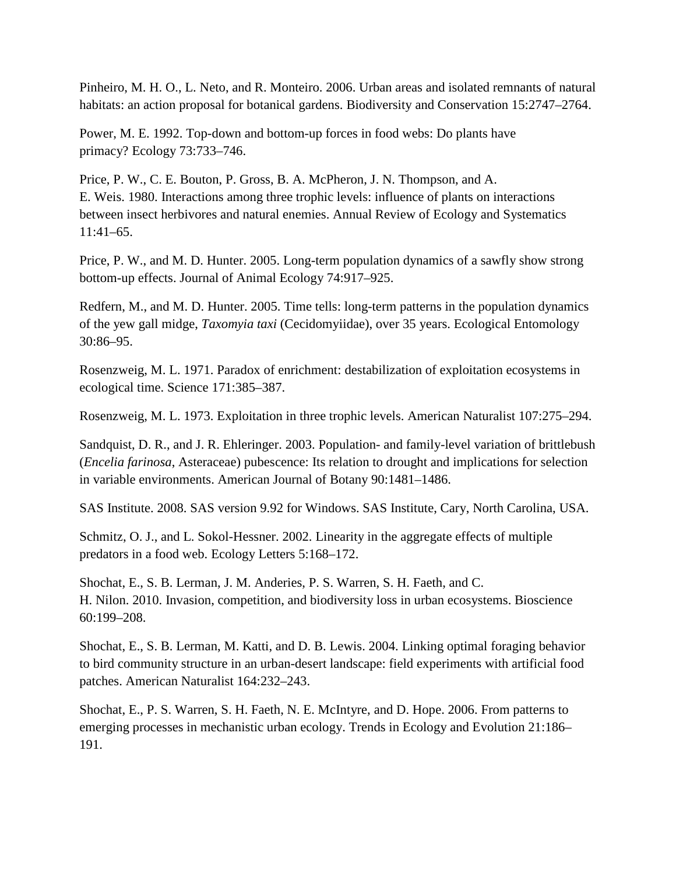Pinheiro, M. H. O., L. Neto, and R. Monteiro. 2006. Urban areas and isolated remnants of natural habitats: an action proposal for botanical gardens. Biodiversity and Conservation 15:2747–2764.

Power, M. E. 1992. Top-down and bottom-up forces in food webs: Do plants have primacy? Ecology 73:733–746.

Price, P. W., C. E. Bouton, P. Gross, B. A. McPheron, J. N. Thompson, and A. E. Weis. 1980. Interactions among three trophic levels: influence of plants on interactions between insect herbivores and natural enemies. Annual Review of Ecology and Systematics 11:41–65.

Price, P. W., and M. D. Hunter. 2005. Long-term population dynamics of a sawfly show strong bottom-up effects. Journal of Animal Ecology 74:917–925.

Redfern, M., and M. D. Hunter. 2005. Time tells: long-term patterns in the population dynamics of the yew gall midge, *Taxomyia taxi* (Cecidomyiidae), over 35 years. Ecological Entomology 30:86–95.

Rosenzweig, M. L. 1971. Paradox of enrichment: destabilization of exploitation ecosystems in ecological time. Science 171:385–387.

Rosenzweig, M. L. 1973. Exploitation in three trophic levels. American Naturalist 107:275–294.

Sandquist, D. R., and J. R. Ehleringer. 2003. Population- and family-level variation of brittlebush (*Encelia farinosa*, Asteraceae) pubescence: Its relation to drought and implications for selection in variable environments. American Journal of Botany 90:1481–1486.

SAS Institute. 2008. SAS version 9.92 for Windows. SAS Institute, Cary, North Carolina, USA.

Schmitz, O. J., and L. Sokol-Hessner. 2002. Linearity in the aggregate effects of multiple predators in a food web. Ecology Letters 5:168–172.

Shochat, E., S. B. Lerman, J. M. Anderies, P. S. Warren, S. H. Faeth, and C. H. Nilon. 2010. Invasion, competition, and biodiversity loss in urban ecosystems. Bioscience 60:199–208.

Shochat, E., S. B. Lerman, M. Katti, and D. B. Lewis. 2004. Linking optimal foraging behavior to bird community structure in an urban-desert landscape: field experiments with artificial food patches. American Naturalist 164:232–243.

Shochat, E., P. S. Warren, S. H. Faeth, N. E. McIntyre, and D. Hope. 2006. From patterns to emerging processes in mechanistic urban ecology. Trends in Ecology and Evolution 21:186– 191.